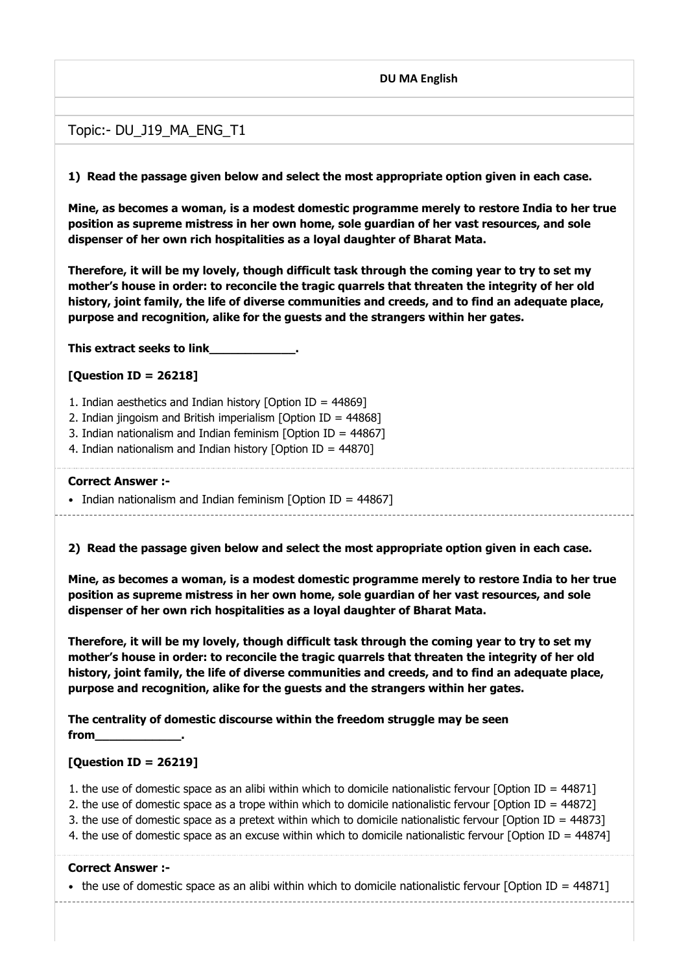#### **DU MA English**

# Topic:- DU\_J19\_MA\_ENG\_T1

**1) Read the passage given below and select the most appropriate option given in each case.**

**Mine, as becomes a woman, is a modest domestic programme merely to restore India to her true position as supreme mistress in her own home, sole guardian of her vast resources, and sole dispenser of her own rich hospitalities as a loyal daughter of Bharat Mata.**

**Therefore, it will be my lovely, though difficult task through the coming year to try to set my mother's house in order: to reconcile the tragic quarrels that threaten the integrity of her old history, joint family, the life of diverse communities and creeds, and to find an adequate place, purpose and recognition, alike for the guests and the strangers within her gates.**

**This extract seeks to link\_\_\_\_\_\_\_\_\_\_\_\_.**

#### **[Question ID = 26218]**

1. Indian aesthetics and Indian history [Option ID = 44869]

2. Indian jingoism and British imperialism [Option ID = 44868]

3. Indian nationalism and Indian feminism [Option ID = 44867]

4. Indian nationalism and Indian history [Option ID = 44870]

#### **Correct Answer :-**

• Indian nationalism and Indian feminism [Option ID = 44867]

**2) Read the passage given below and select the most appropriate option given in each case.**

**Mine, as becomes a woman, is a modest domestic programme merely to restore India to her true position as supreme mistress in her own home, sole guardian of her vast resources, and sole dispenser of her own rich hospitalities as a loyal daughter of Bharat Mata.**

**Therefore, it will be my lovely, though difficult task through the coming year to try to set my mother's house in order: to reconcile the tragic quarrels that threaten the integrity of her old history, joint family, the life of diverse communities and creeds, and to find an adequate place, purpose and recognition, alike for the guests and the strangers within her gates.**

**The centrality of domestic discourse within the freedom struggle may be seen from\_\_\_\_\_\_\_\_\_\_\_\_.**

#### **[Question ID = 26219]**

1. the use of domestic space as an alibi within which to domicile nationalistic fervour [Option ID =  $44871$ ]

2. the use of domestic space as a trope within which to domicile nationalistic fervour  $\delta$  [Option ID = 44872]

3. the use of domestic space as a pretext within which to domicile nationalistic fervour [Option ID = 44873]

4. the use of domestic space as an excuse within which to domicile nationalistic fervour [Option ID = 44874]

#### **Correct Answer :-**

• the use of domestic space as an alibi within which to domicile nationalistic fervour [Option ID =  $44871$ ]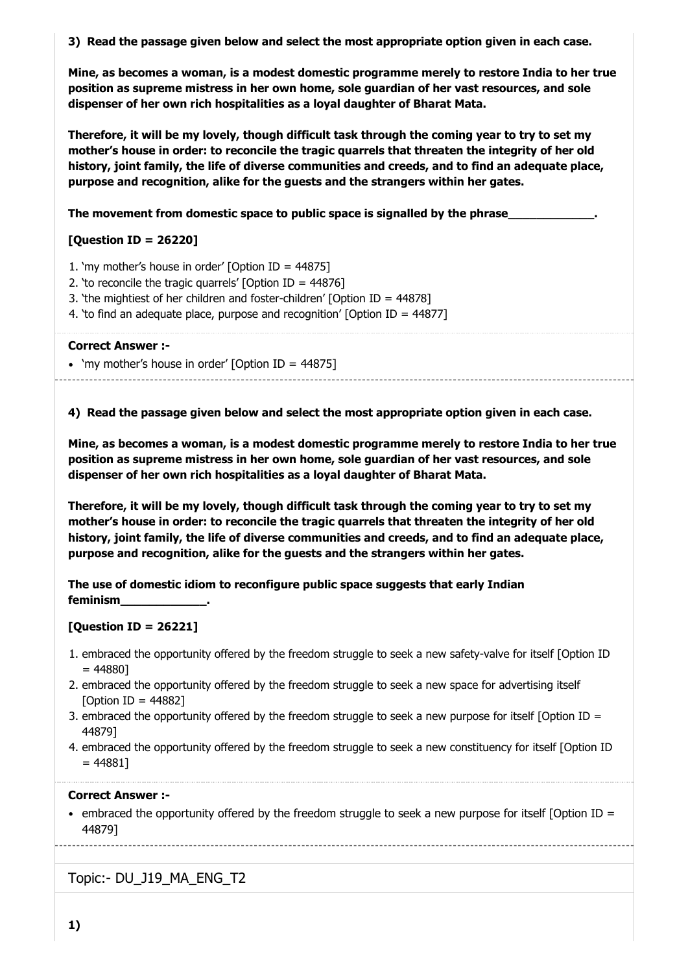**3) Read the passage given below and select the most appropriate option given in each case.**

**Mine, as becomes a woman, is a modest domestic programme merely to restore India to her true position as supreme mistress in her own home, sole guardian of her vast resources, and sole dispenser of her own rich hospitalities as a loyal daughter of Bharat Mata.**

**Therefore, it will be my lovely, though difficult task through the coming year to try to set my mother's house in order: to reconcile the tragic quarrels that threaten the integrity of her old history, joint family, the life of diverse communities and creeds, and to find an adequate place, purpose and recognition, alike for the guests and the strangers within her gates.**

The movement from domestic space to public space is signalled by the phrase

# **[Question ID = 26220]**

- 1. 'my mother's house in order' [Option ID = 44875]
- 2. 'to reconcile the tragic quarrels' [Option ID = 44876]
- 3. 'the mightiest of her children and foster-children' [Option ID = 44878]
- 4. 'to find an adequate place, purpose and recognition' [Option ID = 44877]

#### **Correct Answer :-**

• 'my mother's house in order' [Option ID = 44875]

**4) Read the passage given below and select the most appropriate option given in each case.**

**Mine, as becomes a woman, is a modest domestic programme merely to restore India to her true position as supreme mistress in her own home, sole guardian of her vast resources, and sole dispenser of her own rich hospitalities as a loyal daughter of Bharat Mata.**

**Therefore, it will be my lovely, though difficult task through the coming year to try to set my mother's house in order: to reconcile the tragic quarrels that threaten the integrity of her old history, joint family, the life of diverse communities and creeds, and to find an adequate place, purpose and recognition, alike for the guests and the strangers within her gates.**

**The use of domestic idiom to reconfigure public space suggests that early Indian feminism\_\_\_\_\_\_\_\_\_\_\_\_.**

# **[Question ID = 26221]**

- 1. embraced the opportunity offered by the freedom struggle to seek a new safety-valve for itself [Option ID  $= 448801$
- 2. embraced the opportunity offered by the freedom struggle to seek a new space for advertising itself [Option ID = 44882]
- 3. embraced the opportunity offered by the freedom struggle to seek a new purpose for itself [Option ID = 44879]
- 4. embraced the opportunity offered by the freedom struggle to seek a new constituency for itself [Option ID  $= 448811$

#### **Correct Answer :-**

• embraced the opportunity offered by the freedom struggle to seek a new purpose for itself [Option ID = 44879]

Topic:- DU\_J19\_MA\_ENG\_T2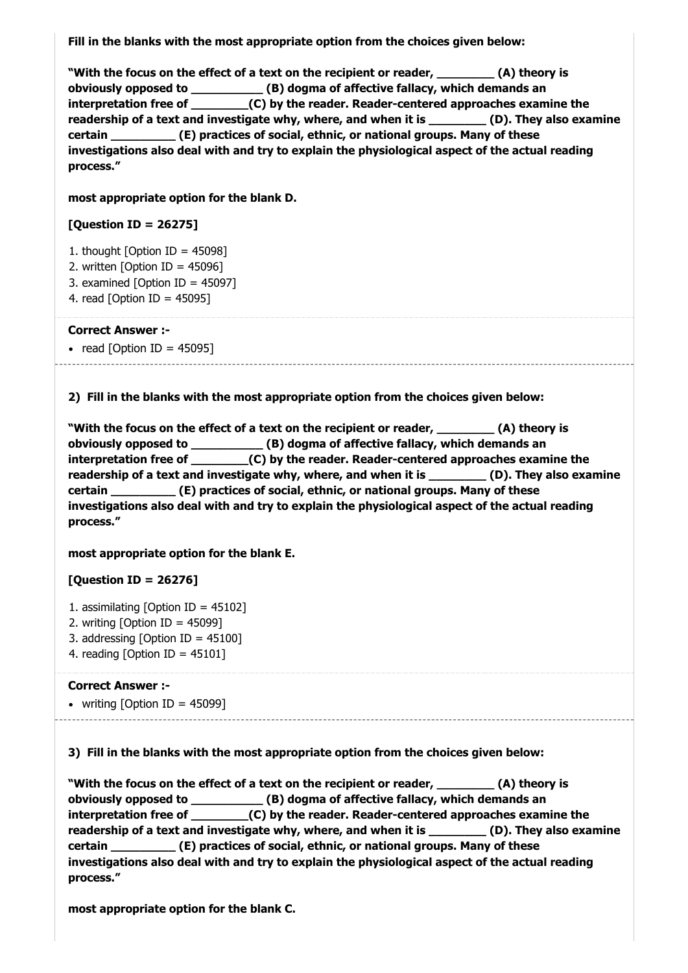**Fill in the blanks with the most appropriate option from the choices given below:**

**"With the focus on the effect of a text on the recipient or reader, \_\_\_\_\_\_\_\_ (A) theory is obviously opposed to \_\_\_\_\_\_\_\_\_\_ (B) dogma of affective fallacy, which demands an interpretation free of \_\_\_\_\_\_\_\_(C) by the reader. Reader-centered approaches examine the readership of a text and investigate why, where, and when it is \_\_\_\_\_\_\_\_ (D). They also examine certain \_\_\_\_\_\_\_\_\_ (E) practices of social, ethnic, or national groups. Many of these investigations also deal with and try to explain the physiological aspect of the actual reading process."**

**most appropriate option for the blank D.**

#### **[Question ID = 26275]**

- 1. thought  $[Option ID = 45098]$
- 2. written  $[Option ID = 45096]$
- 3. examined [Option ID = 45097]
- 4. read [Option ID = 45095]

#### **Correct Answer :-**

• read  $[Option ID = 45095]$ 

**2) Fill in the blanks with the most appropriate option from the choices given below:**

**"With the focus on the effect of a text on the recipient or reader, \_\_\_\_\_\_\_\_ (A) theory is obviously opposed to \_\_\_\_\_\_\_\_\_\_ (B) dogma of affective fallacy, which demands an interpretation free of \_\_\_\_\_\_\_\_(C) by the reader. Reader-centered approaches examine the** readership of a text and investigate why, where, and when it is **(D)**. They also examine **certain \_\_\_\_\_\_\_\_\_ (E) practices of social, ethnic, or national groups. Many of these investigations also deal with and try to explain the physiological aspect of the actual reading process."**

#### **most appropriate option for the blank E.**

# **[Question ID = 26276]**

- 1. assimilating [Option ID = 45102]
- 2. writing  $[Option ID = 45099]$
- 3. addressing [Option ID = 45100]
- 4. reading [Option ID = 45101]

#### **Correct Answer :-**

• writing [Option ID = 45099]

**3) Fill in the blanks with the most appropriate option from the choices given below:**

**"With the focus on the effect of a text on the recipient or reader, \_\_\_\_\_\_\_\_ (A) theory is obviously opposed to \_\_\_\_\_\_\_\_\_\_ (B) dogma of affective fallacy, which demands an interpretation free of \_\_\_\_\_\_\_\_(C) by the reader. Reader-centered approaches examine the readership of a text and investigate why, where, and when it is \_\_\_\_\_\_\_\_ (D). They also examine certain \_\_\_\_\_\_\_\_\_ (E) practices of social, ethnic, or national groups. Many of these investigations also deal with and try to explain the physiological aspect of the actual reading process."**

**most appropriate option for the blank C.**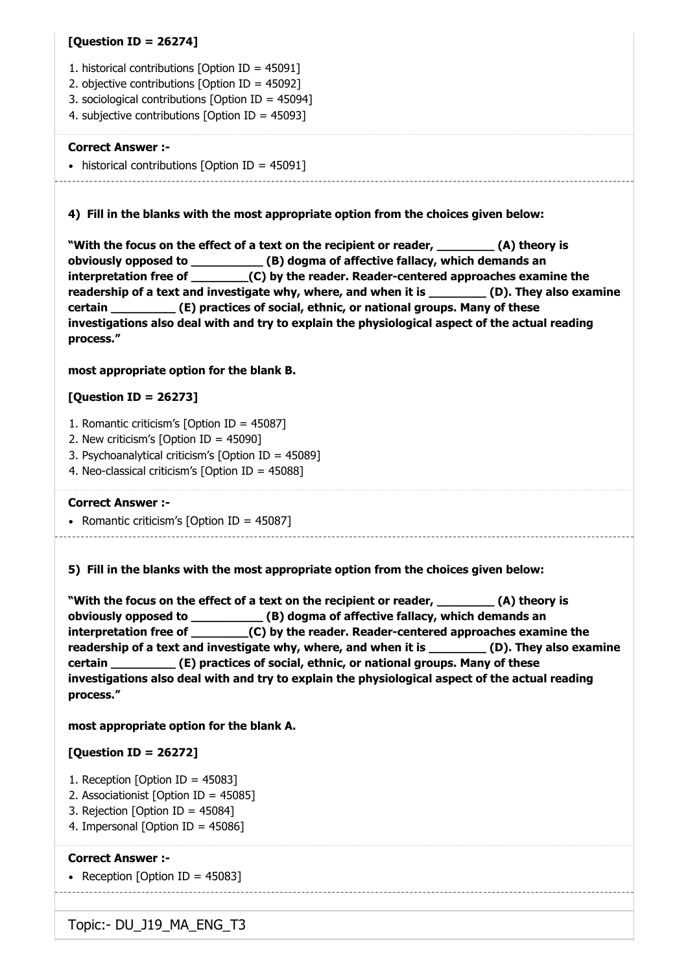## **[Question ID = 26274]**

- 1. historical contributions [Option ID = 45091]
- 2. objective contributions [Option ID = 45092]
- 3. sociological contributions [Option ID = 45094]
- 4. subjective contributions [Option ID = 45093]

#### **Correct Answer :-**

 $\bullet$  historical contributions [Option ID = 45091]

**4) Fill in the blanks with the most appropriate option from the choices given below:**

**"With the focus on the effect of a text on the recipient or reader, \_\_\_\_\_\_\_\_ (A) theory is obviously opposed to \_\_\_\_\_\_\_\_\_\_ (B) dogma of affective fallacy, which demands an interpretation free of \_\_\_\_\_\_\_\_(C) by the reader. Reader-centered approaches examine the readership of a text and investigate why, where, and when it is \_\_\_\_\_\_\_\_ (D). They also examine certain \_\_\_\_\_\_\_\_\_ (E) practices of social, ethnic, or national groups. Many of these investigations also deal with and try to explain the physiological aspect of the actual reading process."**

#### **most appropriate option for the blank B.**

# **[Question ID = 26273]**

- 1. Romantic criticism's [Option ID = 45087]
- 2. New criticism's [Option ID = 45090]
- 3. Psychoanalytical criticism's [Option ID = 45089]
- 4. Neo-classical criticism's [Option ID = 45088]

#### **Correct Answer :-**

• Romantic criticism's  $[Option ID = 45087]$ 

**5) Fill in the blanks with the most appropriate option from the choices given below:**

**"With the focus on the effect of a text on the recipient or reader, \_\_\_\_\_\_\_\_ (A) theory is obviously opposed to \_\_\_\_\_\_\_\_\_\_ (B) dogma of affective fallacy, which demands an interpretation free of \_\_\_\_\_\_\_\_(C) by the reader. Reader-centered approaches examine the** readership of a text and investigate why, where, and when it is **(D).** They also examine **certain \_\_\_\_\_\_\_\_\_ (E) practices of social, ethnic, or national groups. Many of these investigations also deal with and try to explain the physiological aspect of the actual reading process."**

#### **most appropriate option for the blank A.**

# **[Question ID = 26272]**

- 1. Reception [Option ID = 45083]
- 2. Associationist [Option ID = 45085]
- 3. Rejection [Option ID = 45084]
- 4. Impersonal [Option ID = 45086]

#### **Correct Answer :-**

• Reception [Option ID =  $45083$ ]

Topic:- DU\_J19\_MA\_ENG\_T3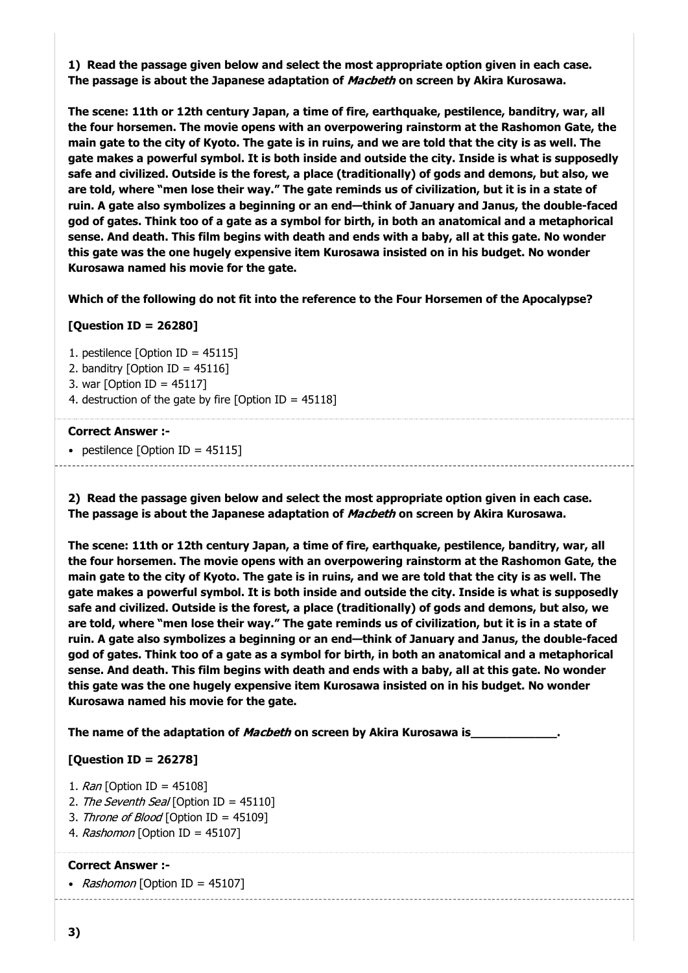**1) Read the passage given below and select the most appropriate option given in each case. The passage is about the Japanese adaptation of** Macbeth **on screen by Akira Kurosawa.**

**The scene: 11th or 12th century Japan, a time of fire, earthquake, pestilence, banditry, war, all the four horsemen. The movie opens with an overpowering rainstorm at the Rashomon Gate, the main gate to the city of Kyoto. The gate is in ruins, and we are told that the city is as well. The gate makes a powerful symbol. It is both inside and outside the city. Inside is what is supposedly safe and civilized. Outside is the forest, a place (traditionally) of gods and demons, but also, we are told, where "men lose their way." The gate reminds us of civilization, but it is in a state of ruin. A gate also symbolizes a beginning or an end—think of January and Janus, the double-faced god of gates. Think too of a gate as a symbol for birth, in both an anatomical and a metaphorical sense. And death. This film begins with death and ends with a baby, all at this gate. No wonder this gate was the one hugely expensive item Kurosawa insisted on in his budget. No wonder Kurosawa named his movie for the gate.**

**Which of the following do not fit into the reference to the Four Horsemen of the Apocalypse?**

# **[Question ID = 26280]**

- 1. pestilence [Option ID = 45115]
- 2. banditry [Option ID =  $45116$ ]
- 3. war [Option ID = 45117]
- 4. destruction of the gate by fire  $[Option ID = 45118]$

#### **Correct Answer :-**

• pestilence  $[Option ID = 45115]$ 

**2) Read the passage given below and select the most appropriate option given in each case. The passage is about the Japanese adaptation of** Macbeth **on screen by Akira Kurosawa.**

**The scene: 11th or 12th century Japan, a time of fire, earthquake, pestilence, banditry, war, all the four horsemen. The movie opens with an overpowering rainstorm at the Rashomon Gate, the main gate to the city of Kyoto. The gate is in ruins, and we are told that the city is as well. The gate makes a powerful symbol. It is both inside and outside the city. Inside is what is supposedly safe and civilized. Outside is the forest, a place (traditionally) of gods and demons, but also, we are told, where "men lose their way." The gate reminds us of civilization, but it is in a state of ruin. A gate also symbolizes a beginning or an end—think of January and Janus, the double-faced god of gates. Think too of a gate as a symbol for birth, in both an anatomical and a metaphorical sense. And death. This film begins with death and ends with a baby, all at this gate. No wonder this gate was the one hugely expensive item Kurosawa insisted on in his budget. No wonder Kurosawa named his movie for the gate.**

**The name of the adaptation of** Macbeth **on screen by Akira Kurosawa is\_\_\_\_\_\_\_\_\_\_\_\_.**

#### **[Question ID = 26278]**

- 1.  $Ran$  [Option ID = 45108]
- 2. The Seventh Seal [Option ID = 45110]
- 3. Throne of Blood [Option ID = 45109]
- 4. Rashomon [Option ID = 45107]

#### **Correct Answer :-**

• Rashomon [Option ID = 45107]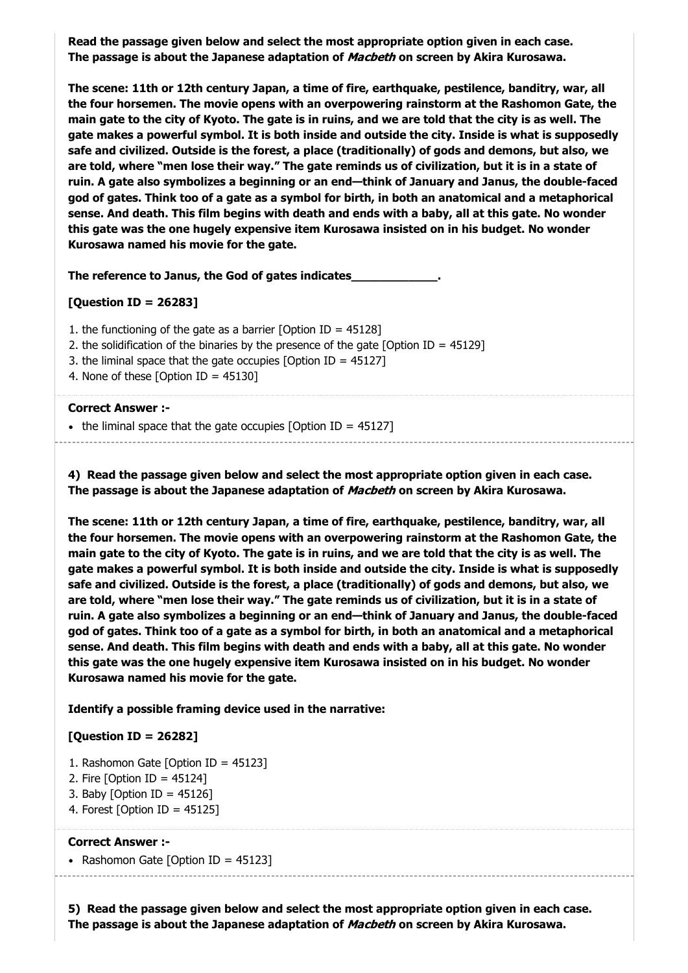**Read the passage given below and select the most appropriate option given in each case. The passage is about the Japanese adaptation of** Macbeth **on screen by Akira Kurosawa.**

**The scene: 11th or 12th century Japan, a time of fire, earthquake, pestilence, banditry, war, all the four horsemen. The movie opens with an overpowering rainstorm at the Rashomon Gate, the main gate to the city of Kyoto. The gate is in ruins, and we are told that the city is as well. The gate makes a powerful symbol. It is both inside and outside the city. Inside is what is supposedly safe and civilized. Outside is the forest, a place (traditionally) of gods and demons, but also, we are told, where "men lose their way." The gate reminds us of civilization, but it is in a state of ruin. A gate also symbolizes a beginning or an end—think of January and Janus, the double-faced god of gates. Think too of a gate as a symbol for birth, in both an anatomical and a metaphorical sense. And death. This film begins with death and ends with a baby, all at this gate. No wonder this gate was the one hugely expensive item Kurosawa insisted on in his budget. No wonder Kurosawa named his movie for the gate.**

**The reference to Janus, the God of gates indicates\_\_\_\_\_\_\_\_\_\_\_\_.**

#### **[Question ID = 26283]**

- 1. the functioning of the gate as a barrier [Option ID = 45128]
- 2. the solidification of the binaries by the presence of the gate [Option ID = 45129]
- 3. the liminal space that the gate occupies [Option ID = 45127]
- 4. None of these [Option ID = 45130]

#### **Correct Answer :-**

• the liminal space that the gate occupies  $[Option ID = 45127]$ 

**4) Read the passage given below and select the most appropriate option given in each case. The passage is about the Japanese adaptation of** Macbeth **on screen by Akira Kurosawa.**

**The scene: 11th or 12th century Japan, a time of fire, earthquake, pestilence, banditry, war, all the four horsemen. The movie opens with an overpowering rainstorm at the Rashomon Gate, the main gate to the city of Kyoto. The gate is in ruins, and we are told that the city is as well. The gate makes a powerful symbol. It is both inside and outside the city. Inside is what is supposedly safe and civilized. Outside is the forest, a place (traditionally) of gods and demons, but also, we are told, where "men lose their way." The gate reminds us of civilization, but it is in a state of ruin. A gate also symbolizes a beginning or an end—think of January and Janus, the double-faced god of gates. Think too of a gate as a symbol for birth, in both an anatomical and a metaphorical sense. And death. This film begins with death and ends with a baby, all at this gate. No wonder this gate was the one hugely expensive item Kurosawa insisted on in his budget. No wonder Kurosawa named his movie for the gate.**

**Identify a possible framing device used in the narrative:**

#### **[Question ID = 26282]**

- 1. Rashomon Gate [Option ID = 45123]
- 2. Fire [Option ID = 45124]
- 3. Baby [Option ID =  $45126$ ]
- 4. Forest [Option ID =  $45125$ ]

#### **Correct Answer :-**

• Rashomon Gate [Option ID =  $45123$ ]

**5) Read the passage given below and select the most appropriate option given in each case. The passage is about the Japanese adaptation of** Macbeth **on screen by Akira Kurosawa.**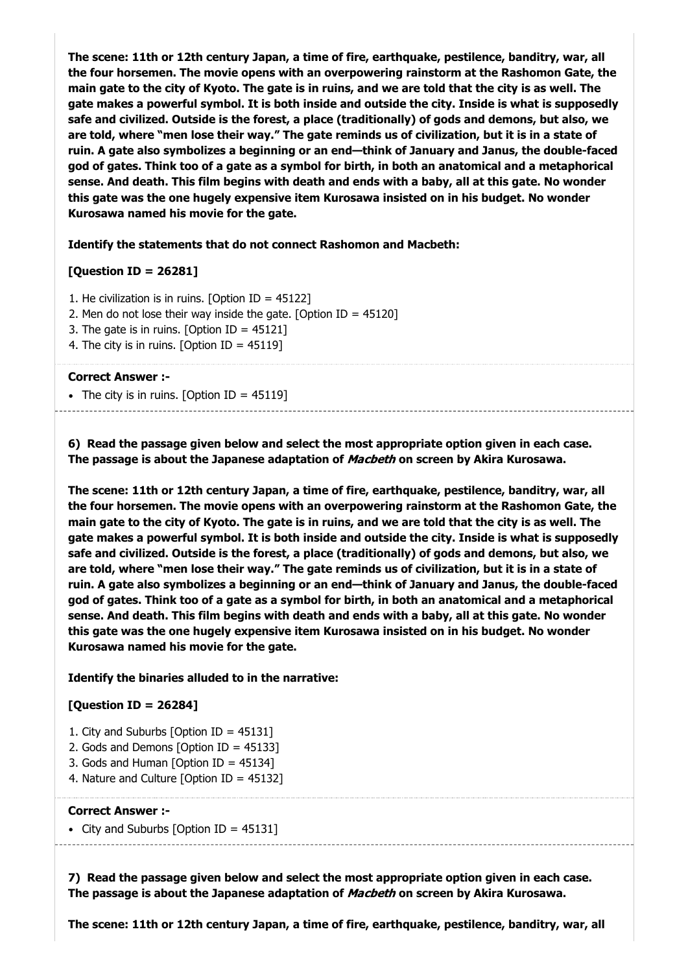**The scene: 11th or 12th century Japan, a time of fire, earthquake, pestilence, banditry, war, all the four horsemen. The movie opens with an overpowering rainstorm at the Rashomon Gate, the main gate to the city of Kyoto. The gate is in ruins, and we are told that the city is as well. The gate makes a powerful symbol. It is both inside and outside the city. Inside is what is supposedly safe and civilized. Outside is the forest, a place (traditionally) of gods and demons, but also, we are told, where "men lose their way." The gate reminds us of civilization, but it is in a state of ruin. A gate also symbolizes a beginning or an end—think of January and Janus, the double-faced god of gates. Think too of a gate as a symbol for birth, in both an anatomical and a metaphorical sense. And death. This film begins with death and ends with a baby, all at this gate. No wonder this gate was the one hugely expensive item Kurosawa insisted on in his budget. No wonder Kurosawa named his movie for the gate.**

**Identify the statements that do not connect Rashomon and Macbeth:**

# **[Question ID = 26281]**

1. He civilization is in ruins. [Option ID = 45122]

- 2. Men do not lose their way inside the gate. [Option ID =  $45120$ ]
- 3. The gate is in ruins. [Option ID = 45121]
- 4. The city is in ruins. [Option ID =  $45119$ ]

#### **Correct Answer :-**

• The city is in ruins. [Option ID =  $45119$ ]

**6) Read the passage given below and select the most appropriate option given in each case. The passage is about the Japanese adaptation of** Macbeth **on screen by Akira Kurosawa.**

**The scene: 11th or 12th century Japan, a time of fire, earthquake, pestilence, banditry, war, all the four horsemen. The movie opens with an overpowering rainstorm at the Rashomon Gate, the main gate to the city of Kyoto. The gate is in ruins, and we are told that the city is as well. The gate makes a powerful symbol. It is both inside and outside the city. Inside is what is supposedly safe and civilized. Outside is the forest, a place (traditionally) of gods and demons, but also, we are told, where "men lose their way." The gate reminds us of civilization, but it is in a state of ruin. A gate also symbolizes a beginning or an end—think of January and Janus, the double-faced god of gates. Think too of a gate as a symbol for birth, in both an anatomical and a metaphorical sense. And death. This film begins with death and ends with a baby, all at this gate. No wonder this gate was the one hugely expensive item Kurosawa insisted on in his budget. No wonder Kurosawa named his movie for the gate.**

#### **Identify the binaries alluded to in the narrative:**

# **[Question ID = 26284]**

- 1. City and Suburbs [Option ID = 45131]
- 2. Gods and Demons [Option ID = 45133]
- 3. Gods and Human [Option ID = 45134]
- 4. Nature and Culture [Option ID = 45132]

#### **Correct Answer :-**

• City and Suburbs  $[Option ID = 45131]$ 

**7) Read the passage given below and select the most appropriate option given in each case. The passage is about the Japanese adaptation of** Macbeth **on screen by Akira Kurosawa.**

**The scene: 11th or 12th century Japan, a time of fire, earthquake, pestilence, banditry, war, all**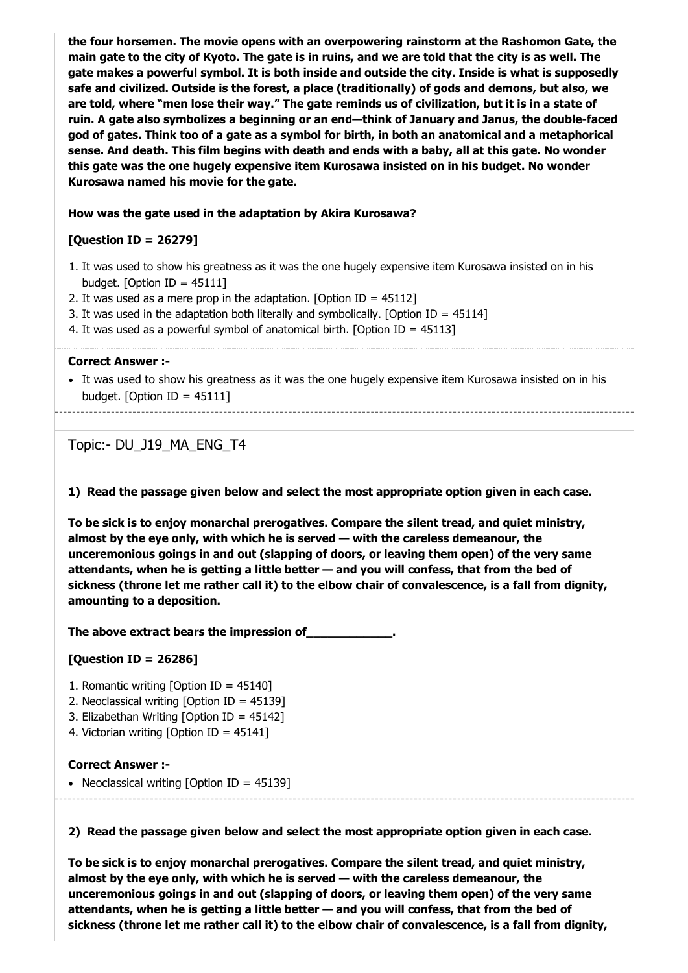**the four horsemen. The movie opens with an overpowering rainstorm at the Rashomon Gate, the main gate to the city of Kyoto. The gate is in ruins, and we are told that the city is as well. The gate makes a powerful symbol. It is both inside and outside the city. Inside is what is supposedly safe and civilized. Outside is the forest, a place (traditionally) of gods and demons, but also, we are told, where "men lose their way." The gate reminds us of civilization, but it is in a state of ruin. A gate also symbolizes a beginning or an end—think of January and Janus, the double-faced god of gates. Think too of a gate as a symbol for birth, in both an anatomical and a metaphorical sense. And death. This film begins with death and ends with a baby, all at this gate. No wonder this gate was the one hugely expensive item Kurosawa insisted on in his budget. No wonder Kurosawa named his movie for the gate.**

#### **How was the gate used in the adaptation by Akira Kurosawa?**

#### **[Question ID = 26279]**

- 1. It was used to show his greatness as it was the one hugely expensive item Kurosawa insisted on in his budget. [Option ID =  $45111$ ]
- 2. It was used as a mere prop in the adaptation. [Option ID =  $45112$ ]
- 3. It was used in the adaptation both literally and symbolically. [Option ID =  $45114$ ]
- 4. It was used as a powerful symbol of anatomical birth. [Option ID = 45113]

#### **Correct Answer :-**

It was used to show his greatness as it was the one hugely expensive item Kurosawa insisted on in his budget. [Option ID =  $45111$ ]

Topic:- DU\_J19\_MA\_ENG\_T4

**1) Read the passage given below and select the most appropriate option given in each case.**

**To be sick is to enjoy monarchal prerogatives. Compare the silent tread, and quiet ministry, almost by the eye only, with which he is served — with the careless demeanour, the unceremonious goings in and out (slapping of doors, or leaving them open) of the very same attendants, when he is getting a little better — and you will confess, that from the bed of sickness (throne let me rather call it) to the elbow chair of convalescence, is a fall from dignity, amounting to a deposition.**

**The above extract bears the impression of\_\_\_\_\_\_\_\_\_\_\_\_.**

#### **[Question ID = 26286]**

- 1. Romantic writing [Option ID = 45140]
- 2. Neoclassical writing [Option ID = 45139]
- 3. Elizabethan Writing [Option ID = 45142]
- 4. Victorian writing [Option ID = 45141]

#### **Correct Answer :-**

• Neoclassical writing [Option ID =  $45139$ ]

**2) Read the passage given below and select the most appropriate option given in each case.**

**To be sick is to enjoy monarchal prerogatives. Compare the silent tread, and quiet ministry, almost by the eye only, with which he is served — with the careless demeanour, the unceremonious goings in and out (slapping of doors, or leaving them open) of the very same attendants, when he is getting a little better — and you will confess, that from the bed of sickness (throne let me rather call it) to the elbow chair of convalescence, is a fall from dignity,**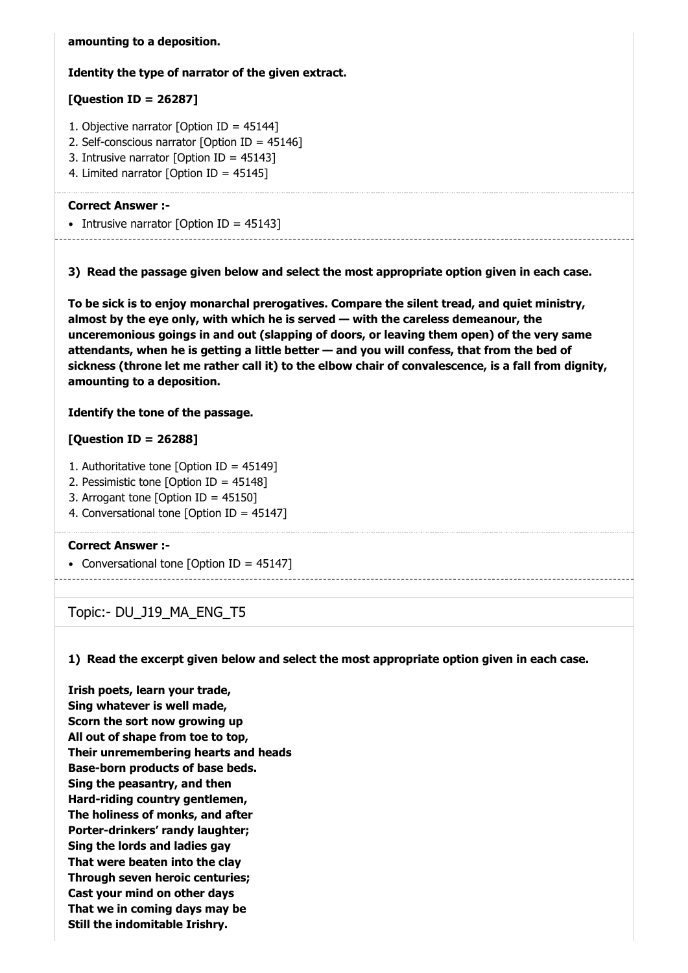**amounting to a deposition.**

## **Identity the type of narrator of the given extract.**

# **[Question ID = 26287]**

- 1. Objective narrator [Option ID = 45144]
- 2. Self-conscious narrator [Option ID = 45146]
- 3. Intrusive narrator [Option ID = 45143]
- 4. Limited narrator [Option ID = 45145]

#### **Correct Answer :-**

• Intrusive narrator [Option ID =  $45143$ ]

**3) Read the passage given below and select the most appropriate option given in each case.**

**To be sick is to enjoy monarchal prerogatives. Compare the silent tread, and quiet ministry, almost by the eye only, with which he is served — with the careless demeanour, the unceremonious goings in and out (slapping of doors, or leaving them open) of the very same attendants, when he is getting a little better — and you will confess, that from the bed of sickness (throne let me rather call it) to the elbow chair of convalescence, is a fall from dignity, amounting to a deposition.**

# **Identify the tone of the passage.**

# **[Question ID = 26288]**

- 1. Authoritative tone [Option ID = 45149]
- 2. Pessimistic tone [Option ID = 45148]
- 3. Arrogant tone [Option ID = 45150]
- 4. Conversational tone [Option ID = 45147]

#### **Correct Answer :-**

• Conversational tone [Option ID = 45147]

# Topic:- DU\_J19\_MA\_ENG\_T5

**1) Read the excerpt given below and select the most appropriate option given in each case.**

**Irish poets, learn your trade, Sing whatever is well made, Scorn the sort now growing up All out of shape from toe to top, Their unremembering hearts and heads Base-born products of base beds. Sing the peasantry, and then Hard-riding country gentlemen, The holiness of monks, and after Porter-drinkers' randy laughter; Sing the lords and ladies gay That were beaten into the clay Through seven heroic centuries; Cast your mind on other days That we in coming days may be Still the indomitable Irishry.**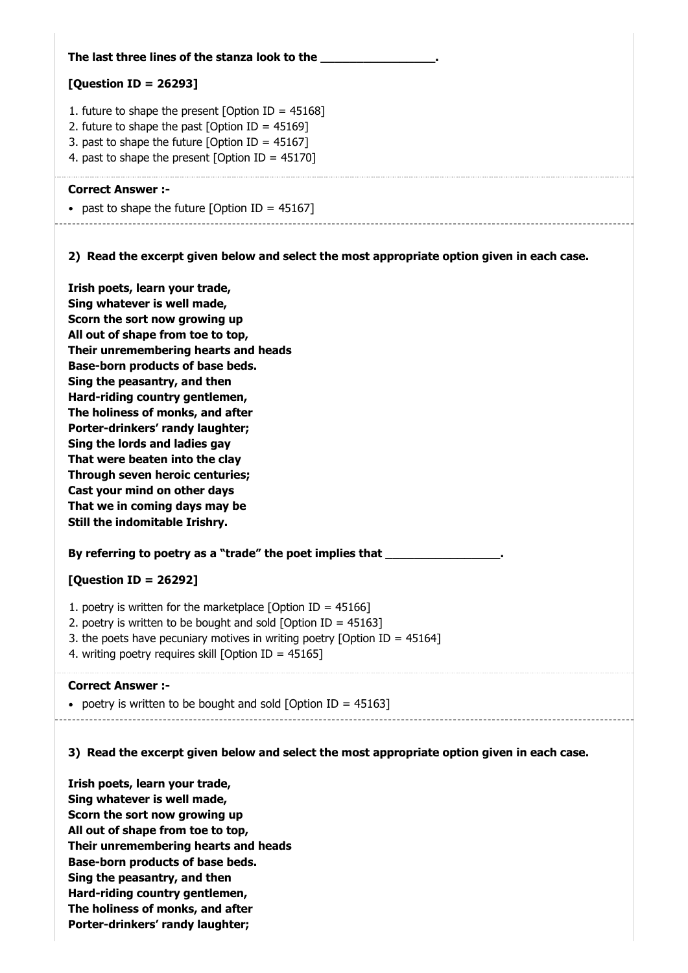| The last three lines of the stanza look to the __                                                                                                                                                                                                                                                                                                                                                                                                                                                                                                                  |
|--------------------------------------------------------------------------------------------------------------------------------------------------------------------------------------------------------------------------------------------------------------------------------------------------------------------------------------------------------------------------------------------------------------------------------------------------------------------------------------------------------------------------------------------------------------------|
| [Question ID = 26293]                                                                                                                                                                                                                                                                                                                                                                                                                                                                                                                                              |
| 1. future to shape the present [Option ID = $45168$ ]<br>2. future to shape the past [Option ID = $45169$ ]<br>3. past to shape the future [Option ID = $45167$ ]<br>4. past to shape the present [Option ID = $45170$ ]                                                                                                                                                                                                                                                                                                                                           |
| <b>Correct Answer:-</b><br>• past to shape the future [Option ID = $45167$ ]                                                                                                                                                                                                                                                                                                                                                                                                                                                                                       |
| 2) Read the excerpt given below and select the most appropriate option given in each case.                                                                                                                                                                                                                                                                                                                                                                                                                                                                         |
| Irish poets, learn your trade,<br>Sing whatever is well made,<br>Scorn the sort now growing up<br>All out of shape from toe to top,<br>Their unremembering hearts and heads<br>Base-born products of base beds.<br>Sing the peasantry, and then<br>Hard-riding country gentlemen,<br>The holiness of monks, and after<br>Porter-drinkers' randy laughter;<br>Sing the lords and ladies gay<br>That were beaten into the clay<br>Through seven heroic centuries;<br>Cast your mind on other days<br>That we in coming days may be<br>Still the indomitable Irishry. |
| By referring to poetry as a "trade" the poet implies that ______________                                                                                                                                                                                                                                                                                                                                                                                                                                                                                           |
| [Question ID = 26292]                                                                                                                                                                                                                                                                                                                                                                                                                                                                                                                                              |
| 1. poetry is written for the marketplace [Option ID = $45166$ ]<br>2. poetry is written to be bought and sold [Option ID = $45163$ ]<br>3. the poets have pecuniary motives in writing poetry [Option ID = $45164$ ]<br>4. writing poetry requires skill [Option ID = 45165]                                                                                                                                                                                                                                                                                       |
| <b>Correct Answer :-</b>                                                                                                                                                                                                                                                                                                                                                                                                                                                                                                                                           |

• poetry is written to be bought and sold  $[Option ID = 45163]$ 

# **3) Read the excerpt given below and select the most appropriate option given in each case.**

**Irish poets, learn your trade, Sing whatever is well made, Scorn the sort now growing up All out of shape from toe to top, Their unremembering hearts and heads Base-born products of base beds. Sing the peasantry, and then Hard-riding country gentlemen, The holiness of monks, and after Porter-drinkers' randy laughter;**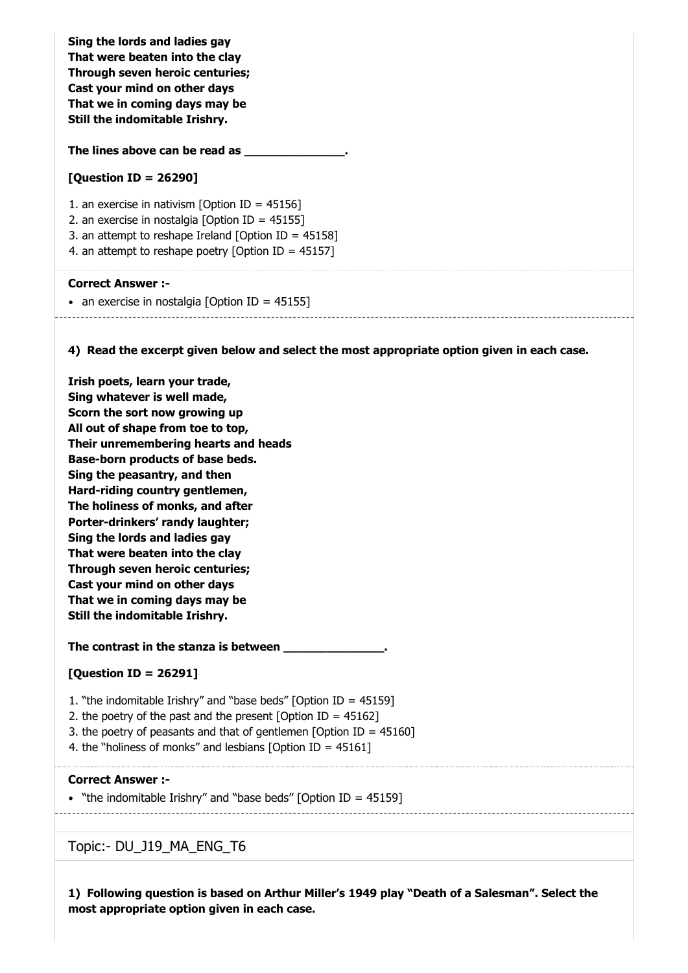**Sing the lords and ladies gay That were beaten into the clay Through seven heroic centuries; Cast your mind on other days That we in coming days may be Still the indomitable Irishry.**

**The lines above can be read as \_\_\_\_\_\_\_\_\_\_\_\_\_\_.**

#### **[Question ID = 26290]**

1. an exercise in nativism [Option ID = 45156] 2. an exercise in nostalgia [Option ID = 45155] 3. an attempt to reshape Ireland [Option ID = 45158] 4. an attempt to reshape poetry [Option ID =  $45157$ ]

#### **Correct Answer :-**

• an exercise in nostalgia [Option ID =  $45155$ ]

**4) Read the excerpt given below and select the most appropriate option given in each case.**

**Irish poets, learn your trade, Sing whatever is well made, Scorn the sort now growing up All out of shape from toe to top, Their unremembering hearts and heads Base-born products of base beds. Sing the peasantry, and then Hard-riding country gentlemen, The holiness of monks, and after Porter-drinkers' randy laughter; Sing the lords and ladies gay That were beaten into the clay Through seven heroic centuries; Cast your mind on other days That we in coming days may be Still the indomitable Irishry.**

**The contrast in the stanza is between \_\_\_\_\_\_\_\_\_\_\_\_\_\_.**

# **[Question ID = 26291]**

- 1. "the indomitable Irishry" and "base beds" [Option ID = 45159]
- 2. the poetry of the past and the present  $\delta$  IO and ID = 45162]
- 3. the poetry of peasants and that of gentlemen [Option ID = 45160]
- 4. the "holiness of monks" and lesbians [Option ID = 45161]

#### **Correct Answer :-**

• "the indomitable Irishry" and "base beds" [Option ID = 45159]

Topic:- DU\_J19\_MA\_ENG\_T6

**1) Following question is based on Arthur Miller's 1949 play "Death of a Salesman". Select the most appropriate option given in each case.**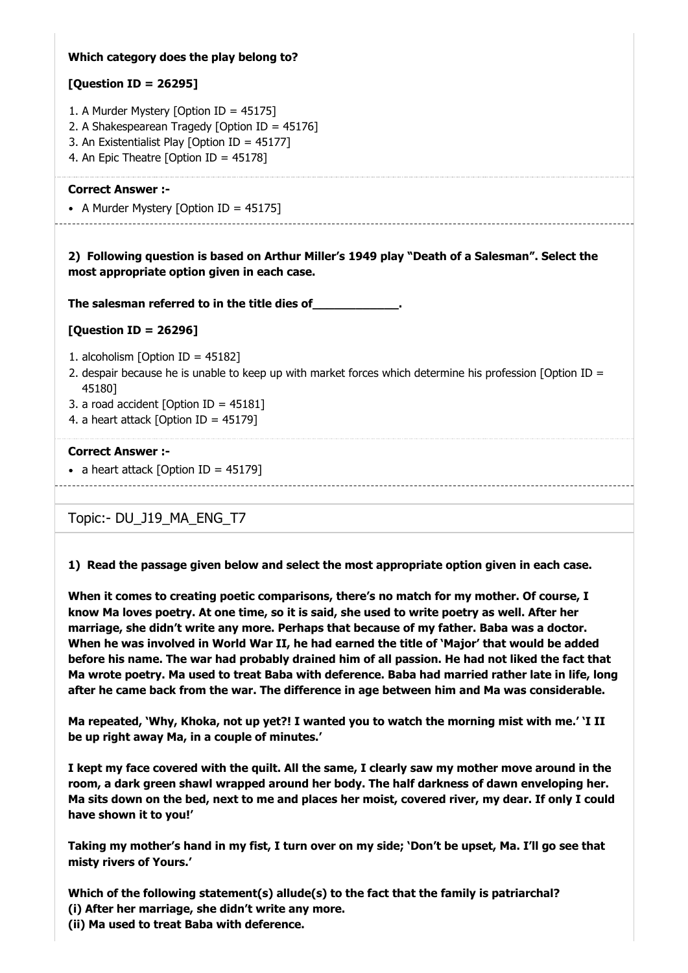# **Which category does the play belong to?**

# **[Question ID = 26295]**

- 1. A Murder Mystery [Option ID = 45175]
- 2. A Shakespearean Tragedy [Option ID = 45176]
- 3. An Existentialist Play [Option ID = 45177]
- 4. An Epic Theatre [Option ID = 45178]

#### **Correct Answer :-**

• A Murder Mystery [Option ID =  $45175$ ]

**2) Following question is based on Arthur Miller's 1949 play "Death of a Salesman". Select the most appropriate option given in each case.**

**The salesman referred to in the title dies of\_\_\_\_\_\_\_\_\_\_\_\_.**

#### **[Question ID = 26296]**

- 1. alcoholism [Option ID = 45182]
- 2. despair because he is unable to keep up with market forces which determine his profession [Option ID = 45180]
- 3. a road accident [Option ID = 45181]
- 4. a heart attack [Option ID = 45179]

#### **Correct Answer :-**

• a heart attack  $[Option ID = 45179]$ 

# Topic:- DU\_J19\_MA\_ENG\_T7

**1) Read the passage given below and select the most appropriate option given in each case.**

**When it comes to creating poetic comparisons, there's no match for my mother. Of course, I know Ma loves poetry. At one time, so it is said, she used to write poetry as well. After her marriage, she didn't write any more. Perhaps that because of my father. Baba was a doctor. When he was involved in World War II, he had earned the title of 'Major' that would be added before his name. The war had probably drained him of all passion. He had not liked the fact that Ma wrote poetry. Ma used to treat Baba with deference. Baba had married rather late in life, long after he came back from the war. The difference in age between him and Ma was considerable.**

**Ma repeated, 'Why, Khoka, not up yet?! I wanted you to watch the morning mist with me.' 'I II be up right away Ma, in a couple of minutes.'**

**I kept my face covered with the quilt. All the same, I clearly saw my mother move around in the room, a dark green shawl wrapped around her body. The half darkness of dawn enveloping her. Ma sits down on the bed, next to me and places her moist, covered river, my dear. If only I could have shown it to you!'**

**Taking my mother's hand in my fist, I turn over on my side; 'Don't be upset, Ma. I'll go see that misty rivers of Yours.'**

**Which of the following statement(s) allude(s) to the fact that the family is patriarchal? (i) After her marriage, she didn't write any more. (ii) Ma used to treat Baba with deference.**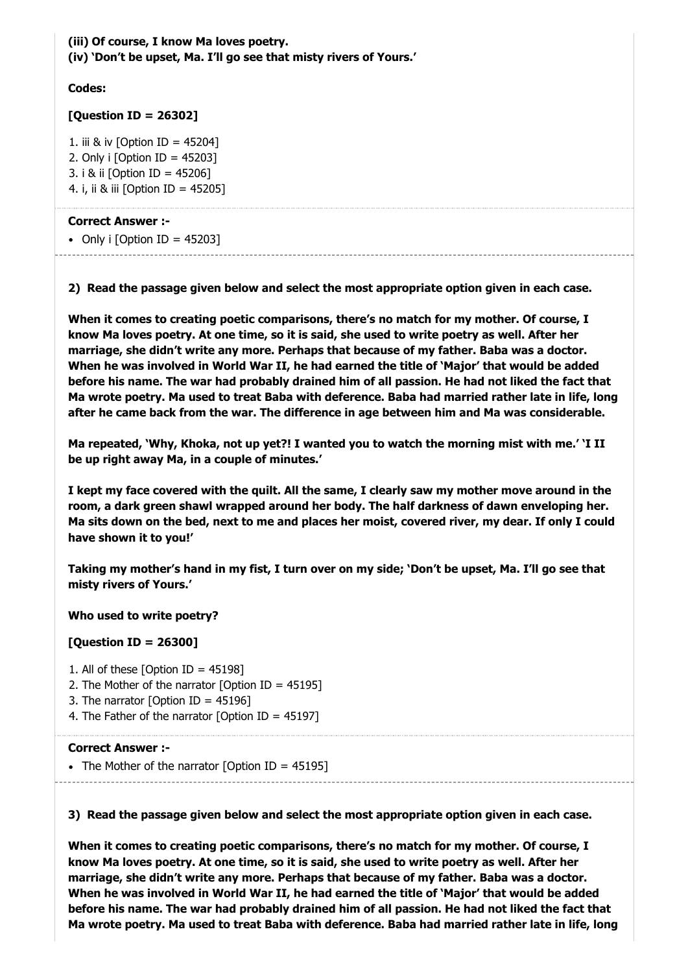**(iii) Of course, I know Ma loves poetry. (iv) 'Don't be upset, Ma. I'll go see that misty rivers of Yours.'**

#### **Codes:**

# **[Question ID = 26302]**

1. iii & iv [Option ID = 45204] 2. Only i [Option ID = 45203] 3. i & ii [Option ID = 45206] 4. i, ii & iii [Option ID = 45205]

# **Correct Answer :-**

• Only i  $[Option ID = 45203]$ 

**2) Read the passage given below and select the most appropriate option given in each case.**

**When it comes to creating poetic comparisons, there's no match for my mother. Of course, I know Ma loves poetry. At one time, so it is said, she used to write poetry as well. After her marriage, she didn't write any more. Perhaps that because of my father. Baba was a doctor. When he was involved in World War II, he had earned the title of 'Major' that would be added before his name. The war had probably drained him of all passion. He had not liked the fact that Ma wrote poetry. Ma used to treat Baba with deference. Baba had married rather late in life, long after he came back from the war. The difference in age between him and Ma was considerable.**

**Ma repeated, 'Why, Khoka, not up yet?! I wanted you to watch the morning mist with me.' 'I II be up right away Ma, in a couple of minutes.'**

**I kept my face covered with the quilt. All the same, I clearly saw my mother move around in the room, a dark green shawl wrapped around her body. The half darkness of dawn enveloping her. Ma sits down on the bed, next to me and places her moist, covered river, my dear. If only I could have shown it to you!'**

**Taking my mother's hand in my fist, I turn over on my side; 'Don't be upset, Ma. I'll go see that misty rivers of Yours.'**

# **Who used to write poetry?**

# **[Question ID = 26300]**

- 1. All of these [Option ID = 45198]
- 2. The Mother of the narrator [Option ID = 45195]
- 3. The narrator [Option ID =  $45196$ ]
- 4. The Father of the narrator [Option ID = 45197]

# **Correct Answer :-**

• The Mother of the narrator [Option ID = 45195]

**3) Read the passage given below and select the most appropriate option given in each case.**

**When it comes to creating poetic comparisons, there's no match for my mother. Of course, I know Ma loves poetry. At one time, so it is said, she used to write poetry as well. After her marriage, she didn't write any more. Perhaps that because of my father. Baba was a doctor. When he was involved in World War II, he had earned the title of 'Major' that would be added before his name. The war had probably drained him of all passion. He had not liked the fact that Ma wrote poetry. Ma used to treat Baba with deference. Baba had married rather late in life, long**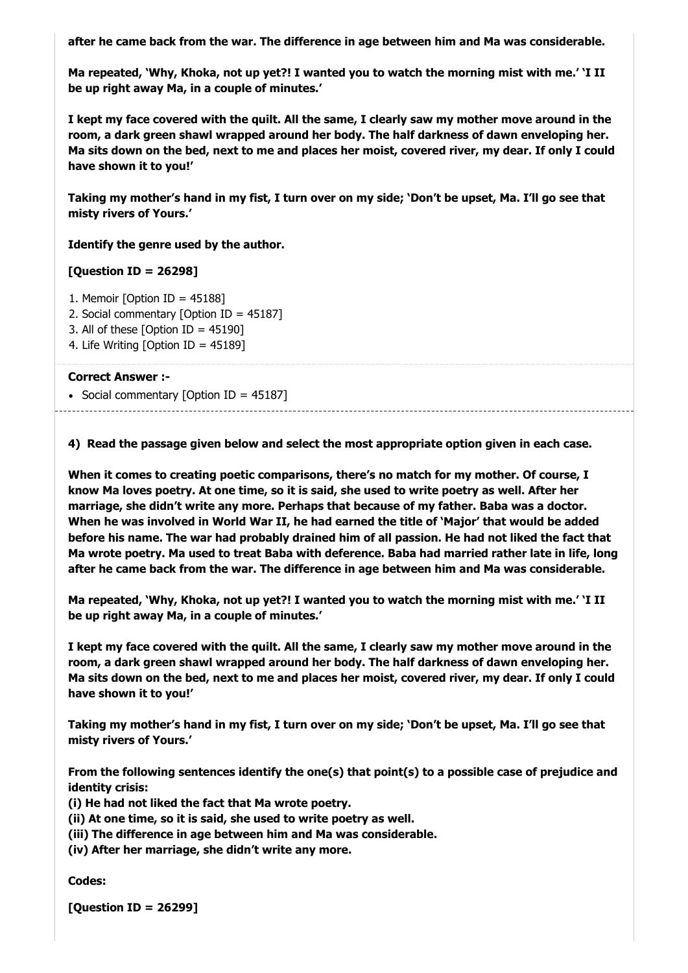**after he came back from the war. The difference in age between him and Ma was considerable.**

**Ma repeated, 'Why, Khoka, not up yet?! I wanted you to watch the morning mist with me.' 'I II be up right away Ma, in a couple of minutes.'**

**I kept my face covered with the quilt. All the same, I clearly saw my mother move around in the room, a dark green shawl wrapped around her body. The half darkness of dawn enveloping her. Ma sits down on the bed, next to me and places her moist, covered river, my dear. If only I could have shown it to you!'**

**Taking my mother's hand in my fist, I turn over on my side; 'Don't be upset, Ma. I'll go see that misty rivers of Yours.'**

**Identify the genre used by the author.**

**[Question ID = 26298]**

- 1. Memoir [Option ID = 45188]
- 2. Social commentary [Option ID = 45187]
- 3. All of these  $[Option ID = 45190]$
- 4. Life Writing [Option ID = 45189]

#### **Correct Answer :-**

• Social commentary [Option ID =  $45187$ ]

**4) Read the passage given below and select the most appropriate option given in each case.**

**When it comes to creating poetic comparisons, there's no match for my mother. Of course, I know Ma loves poetry. At one time, so it is said, she used to write poetry as well. After her marriage, she didn't write any more. Perhaps that because of my father. Baba was a doctor. When he was involved in World War II, he had earned the title of 'Major' that would be added before his name. The war had probably drained him of all passion. He had not liked the fact that Ma wrote poetry. Ma used to treat Baba with deference. Baba had married rather late in life, long after he came back from the war. The difference in age between him and Ma was considerable.**

**Ma repeated, 'Why, Khoka, not up yet?! I wanted you to watch the morning mist with me.' 'I II be up right away Ma, in a couple of minutes.'**

**I kept my face covered with the quilt. All the same, I clearly saw my mother move around in the room, a dark green shawl wrapped around her body. The half darkness of dawn enveloping her. Ma sits down on the bed, next to me and places her moist, covered river, my dear. If only I could have shown it to you!'**

**Taking my mother's hand in my fist, I turn over on my side; 'Don't be upset, Ma. I'll go see that misty rivers of Yours.'**

**From the following sentences identify the one(s) that point(s) to a possible case of prejudice and identity crisis:**

**(i) He had not liked the fact that Ma wrote poetry.**

**(ii) At one time, so it is said, she used to write poetry as well.**

**(iii) The difference in age between him and Ma was considerable.**

**(iv) After her marriage, she didn't write any more.**

**Codes:**

**[Question ID = 26299]**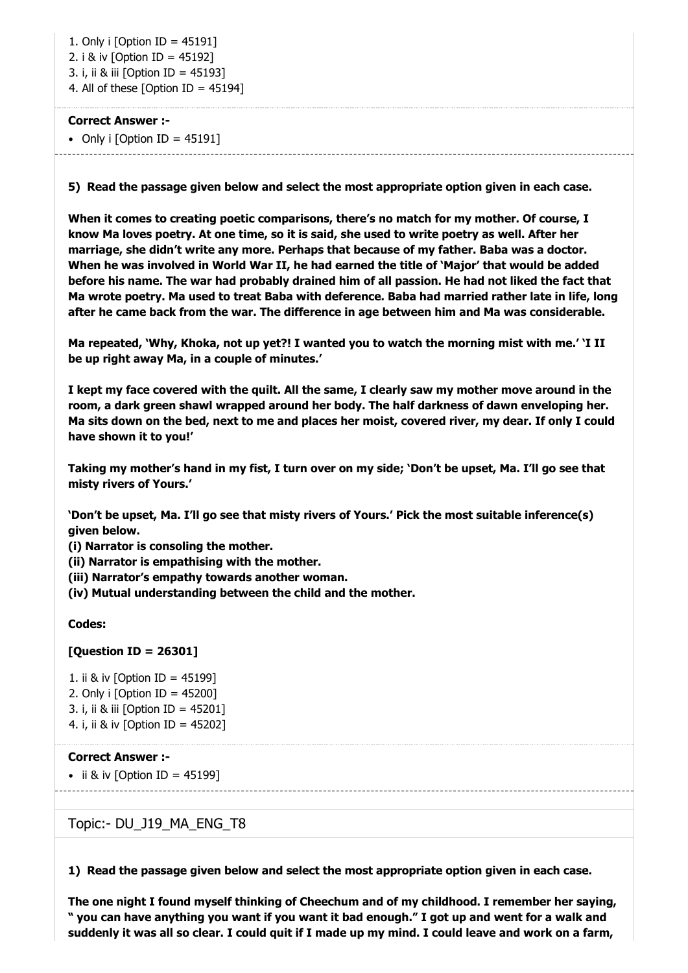1. Only i [Option ID = 45191] 2. i & iv [Option ID = 45192] 3. i, ii & iii [Option ID = 45193] 4. All of these [Option ID =  $45194$ ]

#### **Correct Answer :-**

• Only i  $[Option ID = 45191]$ 

**5) Read the passage given below and select the most appropriate option given in each case.**

**When it comes to creating poetic comparisons, there's no match for my mother. Of course, I know Ma loves poetry. At one time, so it is said, she used to write poetry as well. After her marriage, she didn't write any more. Perhaps that because of my father. Baba was a doctor. When he was involved in World War II, he had earned the title of 'Major' that would be added before his name. The war had probably drained him of all passion. He had not liked the fact that Ma wrote poetry. Ma used to treat Baba with deference. Baba had married rather late in life, long after he came back from the war. The difference in age between him and Ma was considerable.**

**Ma repeated, 'Why, Khoka, not up yet?! I wanted you to watch the morning mist with me.' 'I II be up right away Ma, in a couple of minutes.'**

**I kept my face covered with the quilt. All the same, I clearly saw my mother move around in the room, a dark green shawl wrapped around her body. The half darkness of dawn enveloping her. Ma sits down on the bed, next to me and places her moist, covered river, my dear. If only I could have shown it to you!'**

**Taking my mother's hand in my fist, I turn over on my side; 'Don't be upset, Ma. I'll go see that misty rivers of Yours.'**

**'Don't be upset, Ma. I'll go see that misty rivers of Yours.' Pick the most suitable inference(s) given below.**

**(i) Narrator is consoling the mother.**

**(ii) Narrator is empathising with the mother.**

**(iii) Narrator's empathy towards another woman.**

**(iv) Mutual understanding between the child and the mother.**

#### **Codes:**

#### **[Question ID = 26301]**

1. ii & iv [Option ID = 45199] 2. Only i  $\delta$  [Option ID = 45200] 3. i, ii & iii [Option ID = 45201] 4. i, ii & iv [Option ID = 45202]

## **Correct Answer :-**

 $\bullet$  ii & iv [Option ID = 45199]

# Topic:- DU\_J19\_MA\_ENG\_T8

**1) Read the passage given below and select the most appropriate option given in each case.**

**The one night I found myself thinking of Cheechum and of my childhood. I remember her saying, " you can have anything you want if you want it bad enough." I got up and went for a walk and suddenly it was all so clear. I could quit if I made up my mind. I could leave and work on a farm,**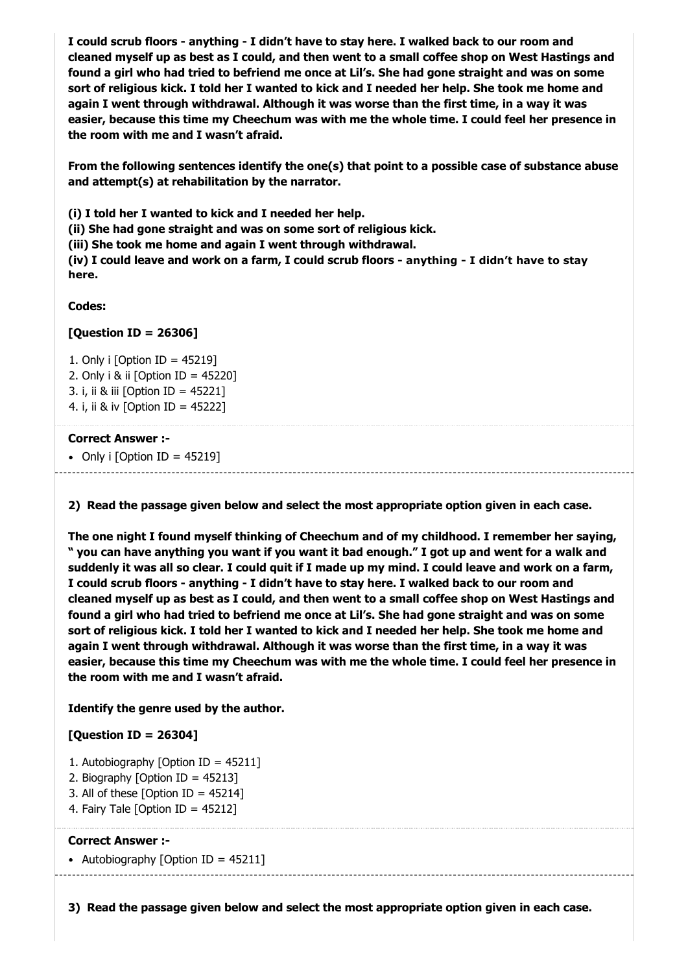**I could scrub floors - anything - I didn't have to stay here. I walked back to our room and cleaned myself up as best as I could, and then went to a small coffee shop on West Hastings and found a girl who had tried to befriend me once at Lil's. She had gone straight and was on some sort of religious kick. I told her I wanted to kick and I needed her help. She took me home and again I went through withdrawal. Although it was worse than the first time, in a way it was easier, because this time my Cheechum was with me the whole time. I could feel her presence in the room with me and I wasn't afraid.**

**From the following sentences identify the one(s) that point to a possible case of substance abuse and attempt(s) at rehabilitation by the narrator.**

**(i) I told her I wanted to kick and I needed her help.**

**(ii) She had gone straight and was on some sort of religious kick.**

**(iii) She took me home and again I went through withdrawal.**

**(iv) I could leave and work on a farm, I could scrub floors - anything - I didn't have to stay here.**

**Codes:**

# **[Question ID = 26306]**

1. Only i [Option ID = 45219] 2. Only i & ii [Option ID = 45220] 3. i, ii & iii [Option ID = 45221] 4. i, ii & iv [Option ID = 45222]

#### **Correct Answer :-**

• Only i  $[Option ID = 45219]$ 

**2) Read the passage given below and select the most appropriate option given in each case.**

**The one night I found myself thinking of Cheechum and of my childhood. I remember her saying, " you can have anything you want if you want it bad enough." I got up and went for a walk and suddenly it was all so clear. I could quit if I made up my mind. I could leave and work on a farm, I could scrub floors - anything - I didn't have to stay here. I walked back to our room and cleaned myself up as best as I could, and then went to a small coffee shop on West Hastings and found a girl who had tried to befriend me once at Lil's. She had gone straight and was on some sort of religious kick. I told her I wanted to kick and I needed her help. She took me home and again I went through withdrawal. Although it was worse than the first time, in a way it was easier, because this time my Cheechum was with me the whole time. I could feel her presence in the room with me and I wasn't afraid.**

# **Identify the genre used by the author.**

# **[Question ID = 26304]**

- 1. Autobiography [Option ID = 45211]
- 2. Biography [Option ID = 45213]
- 3. All of these [Option ID = 45214]
- 4. Fairy Tale [Option ID = 45212]

#### **Correct Answer :-**

• Autobiography [Option ID =  $45211$ ]

**3) Read the passage given below and select the most appropriate option given in each case.**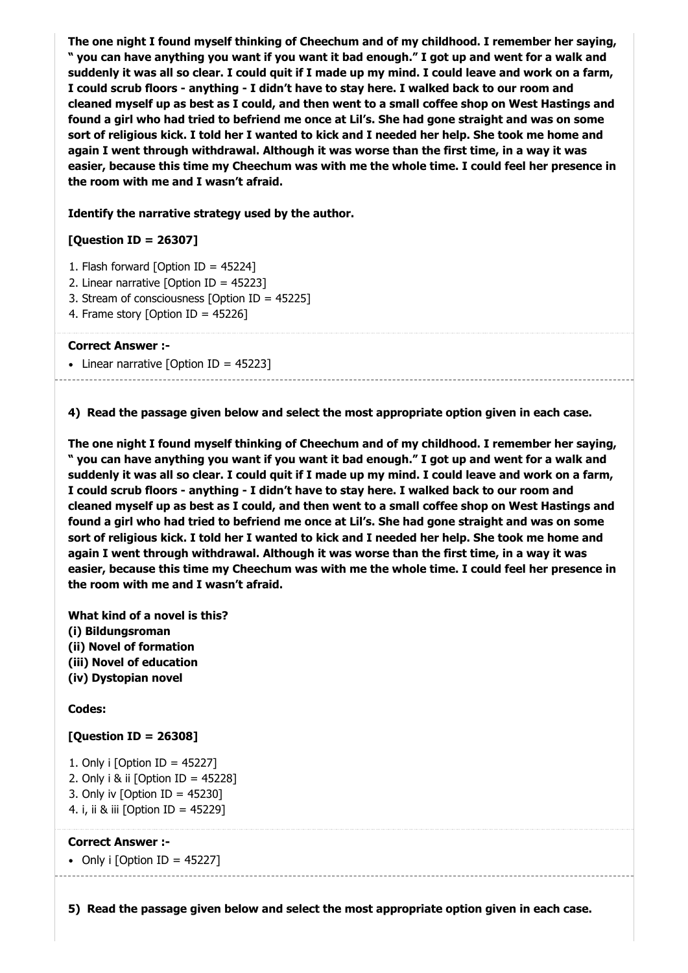**The one night I found myself thinking of Cheechum and of my childhood. I remember her saying, " you can have anything you want if you want it bad enough." I got up and went for a walk and suddenly it was all so clear. I could quit if I made up my mind. I could leave and work on a farm, I could scrub floors - anything - I didn't have to stay here. I walked back to our room and cleaned myself up as best as I could, and then went to a small coffee shop on West Hastings and found a girl who had tried to befriend me once at Lil's. She had gone straight and was on some sort of religious kick. I told her I wanted to kick and I needed her help. She took me home and again I went through withdrawal. Although it was worse than the first time, in a way it was easier, because this time my Cheechum was with me the whole time. I could feel her presence in the room with me and I wasn't afraid.**

#### **Identify the narrative strategy used by the author.**

## **[Question ID = 26307]**

- 1. Flash forward [Option ID = 45224]
- 2. Linear narrative [Option ID = 45223]
- 3. Stream of consciousness [Option ID = 45225]
- 4. Frame story [Option ID = 45226]

#### **Correct Answer :-**

• Linear narrative [Option ID = 45223]

**4) Read the passage given below and select the most appropriate option given in each case.**

**The one night I found myself thinking of Cheechum and of my childhood. I remember her saying, " you can have anything you want if you want it bad enough." I got up and went for a walk and suddenly it was all so clear. I could quit if I made up my mind. I could leave and work on a farm, I could scrub floors - anything - I didn't have to stay here. I walked back to our room and cleaned myself up as best as I could, and then went to a small coffee shop on West Hastings and found a girl who had tried to befriend me once at Lil's. She had gone straight and was on some sort of religious kick. I told her I wanted to kick and I needed her help. She took me home and again I went through withdrawal. Although it was worse than the first time, in a way it was easier, because this time my Cheechum was with me the whole time. I could feel her presence in the room with me and I wasn't afraid.**

**What kind of a novel is this? (i) Bildungsroman (ii) Novel of formation (iii) Novel of education (iv) Dystopian novel**

#### **Codes:**

#### **[Question ID = 26308]**

- 1. Only i [Option ID = 45227]
- 2. Only i & ii  $\delta$  ID = 452281
- 3. Only iv  $[Option ID = 45230]$
- 4. i, ii & iii [Option ID = 45229]

#### **Correct Answer :-**

• Only i [Option ID = 45227]

**5) Read the passage given below and select the most appropriate option given in each case.**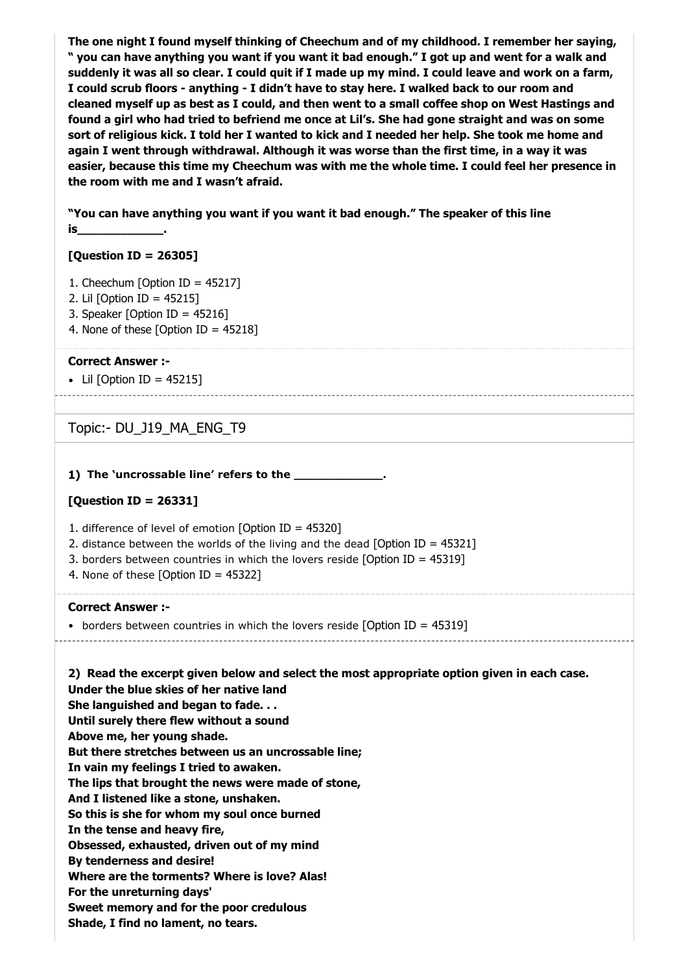**The one night I found myself thinking of Cheechum and of my childhood. I remember her saying, " you can have anything you want if you want it bad enough." I got up and went for a walk and suddenly it was all so clear. I could quit if I made up my mind. I could leave and work on a farm, I could scrub floors - anything - I didn't have to stay here. I walked back to our room and cleaned myself up as best as I could, and then went to a small coffee shop on West Hastings and found a girl who had tried to befriend me once at Lil's. She had gone straight and was on some sort of religious kick. I told her I wanted to kick and I needed her help. She took me home and again I went through withdrawal. Although it was worse than the first time, in a way it was easier, because this time my Cheechum was with me the whole time. I could feel her presence in the room with me and I wasn't afraid.**

**"You can have anything you want if you want it bad enough." The speaker of this line is\_\_\_\_\_\_\_\_\_\_\_\_.**

#### **[Question ID = 26305]**

- 1. Cheechum [Option ID = 45217]
- 2. Lil [Option ID = 45215]
- 3. Speaker [Option ID = 45216]
- 4. None of these [Option ID =  $45218$ ]

#### **Correct Answer :-**

 $\bullet$  Lil [Option ID = 45215]

Topic:- DU\_J19\_MA\_ENG\_T9

#### **1) The 'uncrossable line' refers to the \_\_\_\_\_\_\_\_\_\_\_\_.**

#### **[Question ID = 26331]**

- 1. difference of level of emotion [Option ID = 45320]
- 2. distance between the worlds of the living and the dead [Option ID = 45321]
- 3. borders between countries in which the lovers reside [Option ID = 45319]
- 4. None of these [Option ID = 45322]

#### **Correct Answer :-**

borders between countries in which the lovers reside [Option ID = 45319]

**2) Read the excerpt given below and select the most appropriate option given in each case. Under the blue skies of her native land She languished and began to fade. . . Until surely there flew without a sound Above me, her young shade. But there stretches between us an uncrossable line; In vain my feelings I tried to awaken. The lips that brought the news were made of stone, And I listened like a stone, unshaken. So this is she for whom my soul once burned In the tense and heavy fire, Obsessed, exhausted, driven out of my mind By tenderness and desire! Where are the torments? Where is love? Alas! For the unreturning days' Sweet memory and for the poor credulous Shade, I find no lament, no tears.**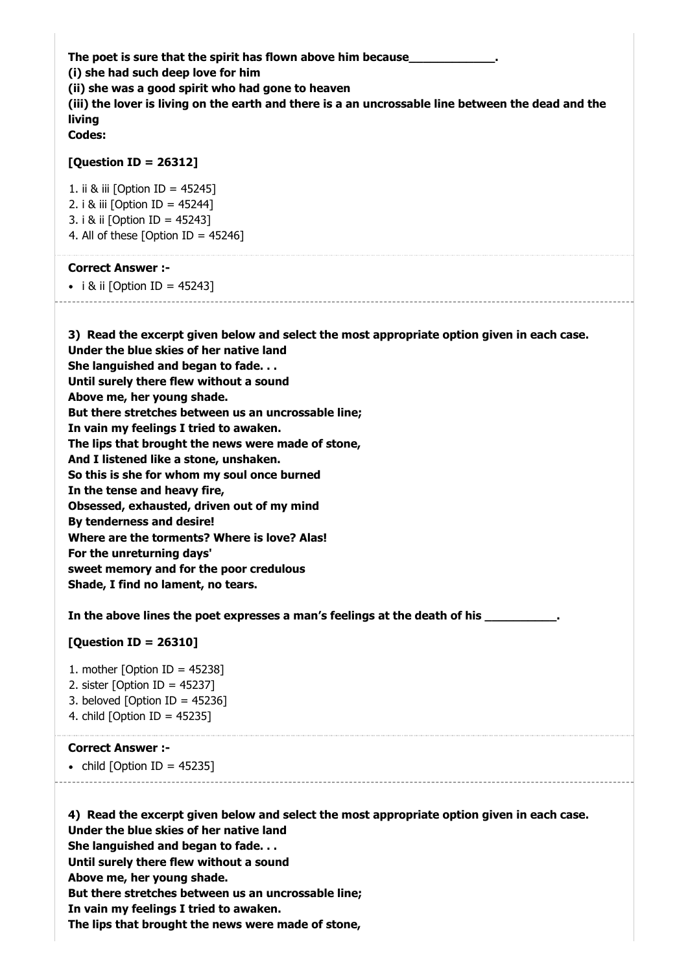The poet is sure that the spirit has flown above him because\_ **(i) she had such deep love for him (ii) she was a good spirit who had gone to heaven (iii) the lover is living on the earth and there is a an uncrossable line between the dead and the living Codes:**

#### **[Question ID = 26312]**

1. ii & iii [Option ID = 45245] 2. i & iii [Option ID = 45244] 3. i & ii [Option ID = 45243] 4. All of these  $[Option ID = 45246]$ 

#### **Correct Answer :-**

 $\bullet$  i & ii [Option ID = 45243]

**3) Read the excerpt given below and select the most appropriate option given in each case. Under the blue skies of her native land She languished and began to fade. . . Until surely there flew without a sound Above me, her young shade. But there stretches between us an uncrossable line; In vain my feelings I tried to awaken. The lips that brought the news were made of stone, And I listened like a stone, unshaken. So this is she for whom my soul once burned In the tense and heavy fire, Obsessed, exhausted, driven out of my mind By tenderness and desire! Where are the torments? Where is love? Alas! For the unreturning days' sweet memory and for the poor credulous Shade, I find no lament, no tears.**

In the above lines the poet expresses a man's feelings at the death of his

#### **[Question ID = 26310]**

- 1. mother  $[Option ID = 45238]$
- 2. sister [Option ID =  $45237$ ]
- 3. beloved  $[Option ID = 45236]$
- 4. child [Option ID = 45235]

#### **Correct Answer :-**

 $\bullet$  child [Option ID = 45235]

**4) Read the excerpt given below and select the most appropriate option given in each case. Under the blue skies of her native land She languished and began to fade. . . Until surely there flew without a sound Above me, her young shade. But there stretches between us an uncrossable line; In vain my feelings I tried to awaken. The lips that brought the news were made of stone,**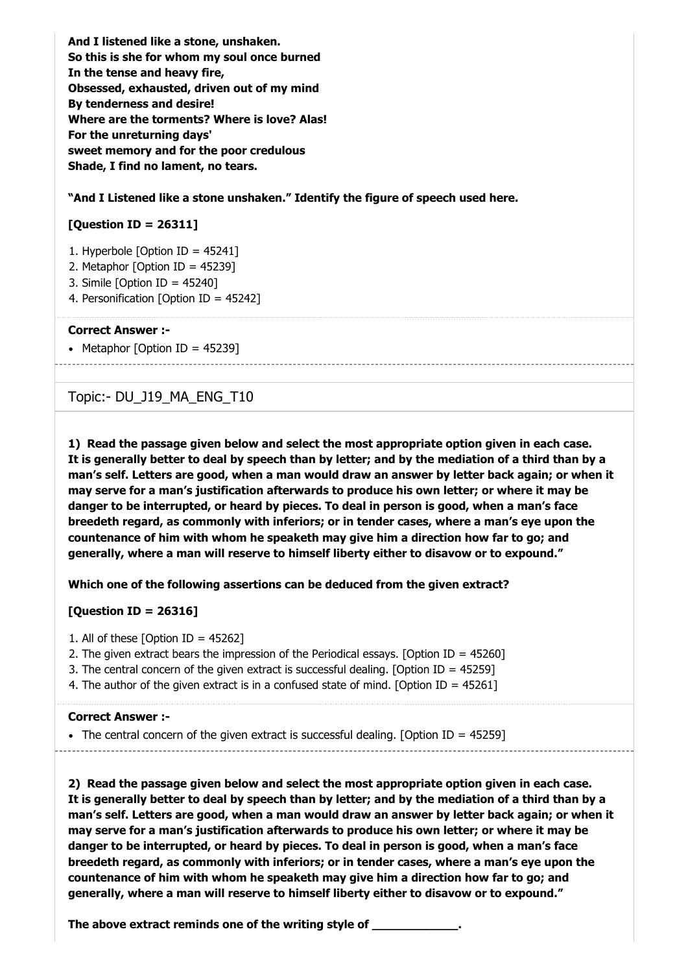**And I listened like a stone, unshaken. So this is she for whom my soul once burned In the tense and heavy fire, Obsessed, exhausted, driven out of my mind By tenderness and desire! Where are the torments? Where is love? Alas! For the unreturning days' sweet memory and for the poor credulous Shade, I find no lament, no tears.**

**"And I Listened like a stone unshaken." Identify the figure of speech used here.**

# **[Question ID = 26311]**

- 1. Hyperbole [Option ID = 45241]
- 2. Metaphor [Option ID = 45239]
- 3. Simile [Option ID = 45240]
- 4. Personification [Option ID = 45242]

#### **Correct Answer :-**

• Metaphor [Option ID =  $45239$ ]

# Topic:- DU\_J19\_MA\_ENG\_T10

**1) Read the passage given below and select the most appropriate option given in each case. It is generally better to deal by speech than by letter; and by the mediation of a third than by a man's self. Letters are good, when a man would draw an answer by letter back again; or when it may serve for a man's justification afterwards to produce his own letter; or where it may be danger to be interrupted, or heard by pieces. To deal in person is good, when a man's face breedeth regard, as commonly with inferiors; or in tender cases, where a man's eye upon the countenance of him with whom he speaketh may give him a direction how far to go; and generally, where a man will reserve to himself liberty either to disavow or to expound."**

**Which one of the following assertions can be deduced from the given extract?**

#### **[Question ID = 26316]**

- 1. All of these  $[Option ID = 45262]$
- 2. The given extract bears the impression of the Periodical essays. [Option ID = 45260]
- 3. The central concern of the given extract is successful dealing. [Option ID = 45259]
- 4. The author of the given extract is in a confused state of mind. [Option ID = 45261]

#### **Correct Answer :-**

 $\bullet$  The central concern of the given extract is successful dealing. [Option ID = 45259]

**2) Read the passage given below and select the most appropriate option given in each case. It is generally better to deal by speech than by letter; and by the mediation of a third than by a man's self. Letters are good, when a man would draw an answer by letter back again; or when it may serve for a man's justification afterwards to produce his own letter; or where it may be danger to be interrupted, or heard by pieces. To deal in person is good, when a man's face breedeth regard, as commonly with inferiors; or in tender cases, where a man's eye upon the countenance of him with whom he speaketh may give him a direction how far to go; and generally, where a man will reserve to himself liberty either to disavow or to expound."**

**The above extract reminds one of the writing style of \_\_\_\_\_\_\_\_\_\_\_\_.**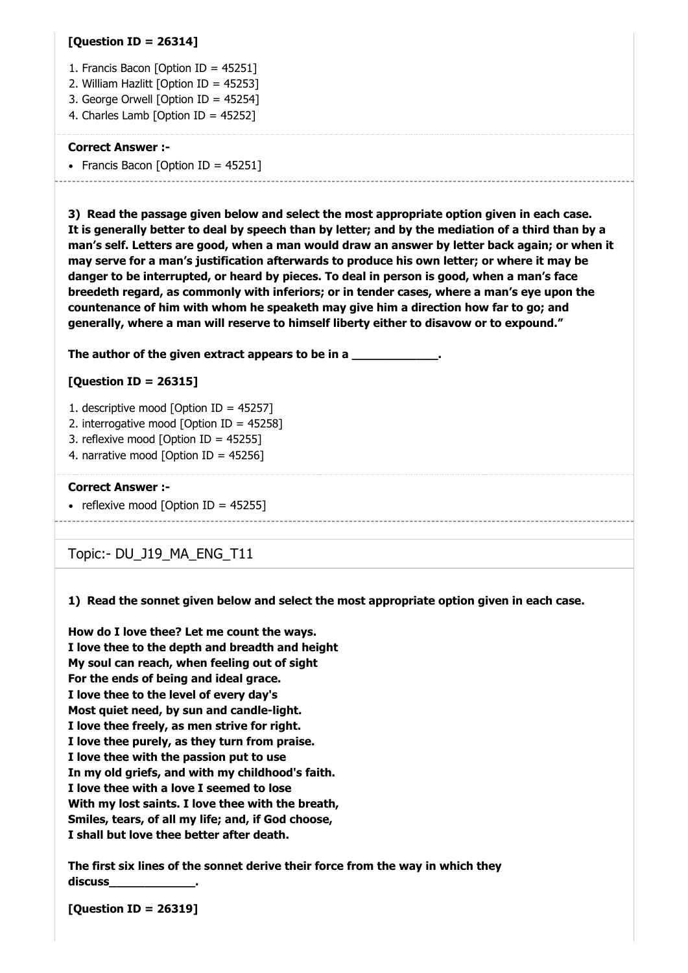#### **[Question ID = 26314]**

- 1. Francis Bacon [Option ID = 45251]
- 2. William Hazlitt [Option ID = 45253]
- 3. George Orwell [Option ID = 45254]
- 4. Charles Lamb [Option ID = 45252]

#### **Correct Answer :-**

• Francis Bacon [Option ID =  $45251$ ]

**3) Read the passage given below and select the most appropriate option given in each case. It is generally better to deal by speech than by letter; and by the mediation of a third than by a man's self. Letters are good, when a man would draw an answer by letter back again; or when it may serve for a man's justification afterwards to produce his own letter; or where it may be danger to be interrupted, or heard by pieces. To deal in person is good, when a man's face breedeth regard, as commonly with inferiors; or in tender cases, where a man's eye upon the countenance of him with whom he speaketh may give him a direction how far to go; and generally, where a man will reserve to himself liberty either to disavow or to expound."**

The author of the given extract appears to be in a

# **[Question ID = 26315]**

- 1. descriptive mood [Option ID = 45257]
- 2. interrogative mood [Option ID = 45258]
- 3. reflexive mood [Option ID = 45255]
- 4. narrative mood [Option ID = 45256]

#### **Correct Answer :-**

• reflexive mood  $[Option ID = 45255]$ 

Topic:- DU\_J19\_MA\_ENG\_T11

#### **1) Read the sonnet given below and select the most appropriate option given in each case.**

**How do I love thee? Let me count the ways. I love thee to the depth and breadth and height My soul can reach, when feeling out of sight For the ends of being and ideal grace. I love thee to the level of every day's Most quiet need, by sun and candle-light. I love thee freely, as men strive for right. I love thee purely, as they turn from praise. I love thee with the passion put to use In my old griefs, and with my childhood's faith. I love thee with a love I seemed to lose With my lost saints. I love thee with the breath, Smiles, tears, of all my life; and, if God choose, I shall but love thee better after death.**

**The first six lines of the sonnet derive their force from the way in which they discuss\_\_\_\_\_\_\_\_\_\_\_\_.**

**[Question ID = 26319]**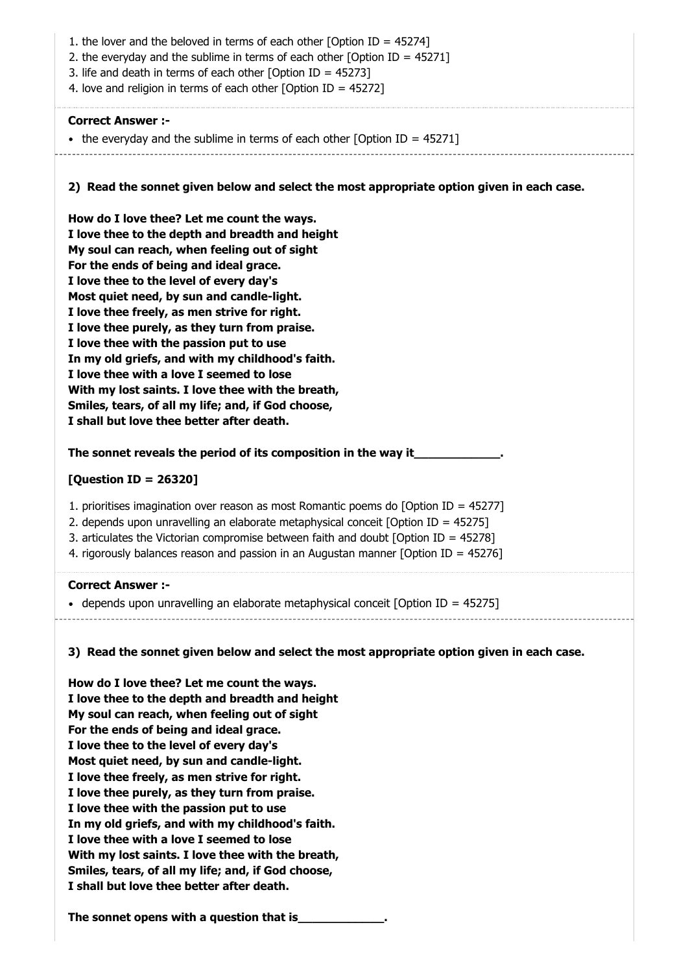**2) Read the sonnet given below and select the most appropriate option given in each case.** 1. the lover and the beloved in terms of each other [Option ID = 45274] 2. the everyday and the sublime in terms of each other [Option ID = 45271] 3. life and death in terms of each other [Option ID = 45273] 4. love and religion in terms of each other [Option ID = 45272] **Correct Answer :-** • the everyday and the sublime in terms of each other [Option ID =  $45271$ ] **How do I love thee? Let me count the ways. I love thee to the depth and breadth and height My soul can reach, when feeling out of sight For the ends of being and ideal grace. I love thee to the level of every day's Most quiet need, by sun and candle-light. I love thee freely, as men strive for right. I love thee purely, as they turn from praise. I love thee with the passion put to use In my old griefs, and with my childhood's faith. I love thee with a love I seemed to lose With my lost saints. I love thee with the breath, Smiles, tears, of all my life; and, if God choose, I shall but love thee better after death.**

The sonnet reveals the period of its composition in the way it

#### **[Question ID = 26320]**

- 1. prioritises imagination over reason as most Romantic poems do [Option ID = 45277]
- 2. depends upon unravelling an elaborate metaphysical conceit [Option ID = 45275]
- 3. articulates the Victorian compromise between faith and doubt [Option ID = 45278]
- 4. rigorously balances reason and passion in an Augustan manner [Option ID = 45276]

#### **Correct Answer :-**

- depends upon unravelling an elaborate metaphysical conceit  $\delta$ Option ID = 45275]
	-

# **3) Read the sonnet given below and select the most appropriate option given in each case.**

**How do I love thee? Let me count the ways. I love thee to the depth and breadth and height My soul can reach, when feeling out of sight For the ends of being and ideal grace. I love thee to the level of every day's Most quiet need, by sun and candle-light. I love thee freely, as men strive for right. I love thee purely, as they turn from praise. I love thee with the passion put to use In my old griefs, and with my childhood's faith. I love thee with a love I seemed to lose With my lost saints. I love thee with the breath, Smiles, tears, of all my life; and, if God choose, I shall but love thee better after death.**

**The sonnet opens with a question that is\_\_\_\_\_\_\_\_\_\_\_\_.**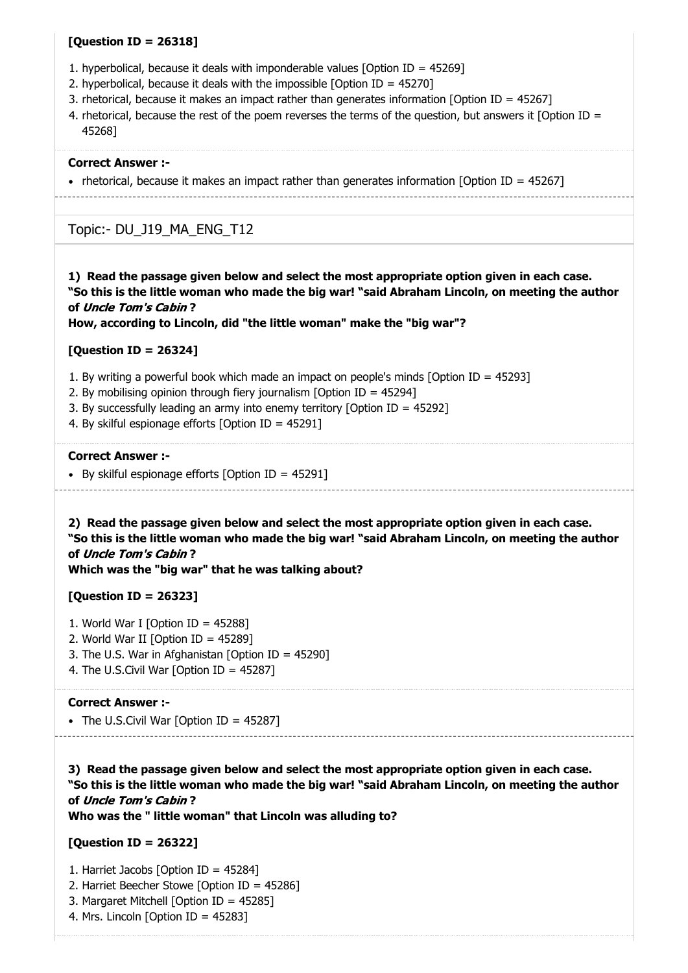#### **[Question ID = 26318]**

- 1. hyperbolical, because it deals with imponderable values [Option ID = 45269]
- 2. hyperbolical, because it deals with the impossible [Option ID = 45270]
- 3. rhetorical, because it makes an impact rather than generates information [Option ID = 45267]
- 4. rhetorical, because the rest of the poem reverses the terms of the question, but answers it [Option ID = 45268]

#### **Correct Answer :-**

• rhetorical, because it makes an impact rather than generates information  $[Option ID = 45267]$ 

# Topic:- DU\_J19\_MA\_ENG\_T12

**1) Read the passage given below and select the most appropriate option given in each case. "So this is the little woman who made the big war! "said Abraham Lincoln, on meeting the author of** Uncle Tom's Cabin **?**

**How, according to Lincoln, did "the little woman" make the "big war"?**

#### **[Question ID = 26324]**

- 1. By writing a powerful book which made an impact on people's minds [Option ID = 45293]
- 2. By mobilising opinion through fiery journalism [Option ID = 45294]
- 3. By successfully leading an army into enemy territory [Option ID = 45292]
- 4. By skilful espionage efforts [Option ID = 45291]

#### **Correct Answer :-**

By skilful espionage efforts [Option ID =  $45291$ ]

**2) Read the passage given below and select the most appropriate option given in each case. "So this is the little woman who made the big war! "said Abraham Lincoln, on meeting the author of** Uncle Tom's Cabin **? Which was the "big war" that he was talking about?**

#### **[Question ID = 26323]**

- 1. World War I [Option ID =  $45288$ ]
- 2. World War II [Option ID = 45289]
- 3. The U.S. War in Afghanistan [Option ID = 45290]
- 4. The U.S.Civil War [Option ID = 45287]

#### **Correct Answer :-**

• The U.S.Civil War [Option ID = 45287]

**3) Read the passage given below and select the most appropriate option given in each case. "So this is the little woman who made the big war! "said Abraham Lincoln, on meeting the author of** Uncle Tom's Cabin **?**

**Who was the " little woman" that Lincoln was alluding to?**

#### **[Question ID = 26322]**

- 1. Harriet Jacobs [Option ID = 45284]
- 2. Harriet Beecher Stowe [Option ID = 45286]
- 3. Margaret Mitchell [Option ID = 45285]
- 4. Mrs. Lincoln [Option ID = 45283]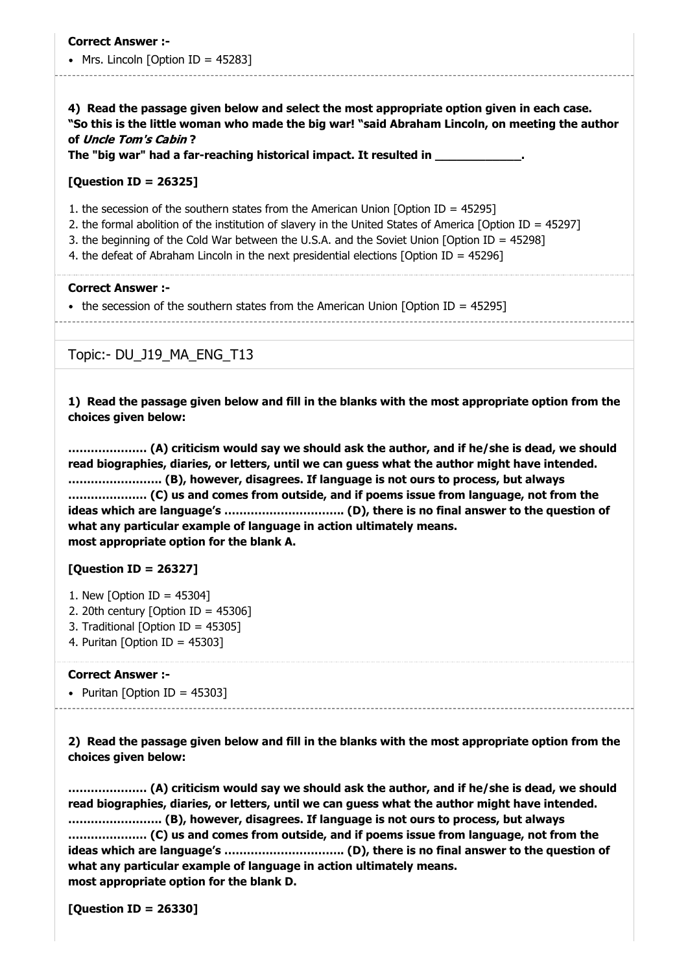#### • Mrs. Lincoln  $[Option ID = 45283]$

**4) Read the passage given below and select the most appropriate option given in each case. "So this is the little woman who made the big war! "said Abraham Lincoln, on meeting the author of** Uncle Tom's Cabin **?**

**The "big war" had a far-reaching historical impact. It resulted in \_\_\_\_\_\_\_\_\_\_\_\_.**

#### **[Question ID = 26325]**

- 1. the secession of the southern states from the American Union [Option ID = 45295]
- 2. the formal abolition of the institution of slavery in the United States of America [Option ID = 45297]
- 3. the beginning of the Cold War between the U.S.A. and the Soviet Union [Option ID = 45298]
- 4. the defeat of Abraham Lincoln in the next presidential elections [Option ID = 45296]

#### **Correct Answer :-**

• the secession of the southern states from the American Union  $[Option ID = 45295]$ 

Topic:- DU\_J19\_MA\_ENG\_T13

**1) Read the passage given below and fill in the blanks with the most appropriate option from the choices given below:**

**………………… (A) criticism would say we should ask the author, and if he/she is dead, we should read biographies, diaries, or letters, until we can guess what the author might have intended. ……………………. (B), however, disagrees. If language is not ours to process, but always ………………… (C) us and comes from outside, and if poems issue from language, not from the ideas which are language's ………………………….. (D), there is no final answer to the question of what any particular example of language in action ultimately means. most appropriate option for the blank A.**

# **[Question ID = 26327]**

- 1. New [Option ID = 45304]
- 2. 20th century [Option ID =  $45306$ ]
- 3. Traditional [Option ID = 45305]
- 4. Puritan [Option ID = 45303]

#### **Correct Answer :-**

• Puritan  $[Option ID = 45303]$ 

**2) Read the passage given below and fill in the blanks with the most appropriate option from the choices given below:**

**………………… (A) criticism would say we should ask the author, and if he/she is dead, we should read biographies, diaries, or letters, until we can guess what the author might have intended. ……………………. (B), however, disagrees. If language is not ours to process, but always ………………… (C) us and comes from outside, and if poems issue from language, not from the ideas which are language's ………………………….. (D), there is no final answer to the question of what any particular example of language in action ultimately means. most appropriate option for the blank D.**

**[Question ID = 26330]**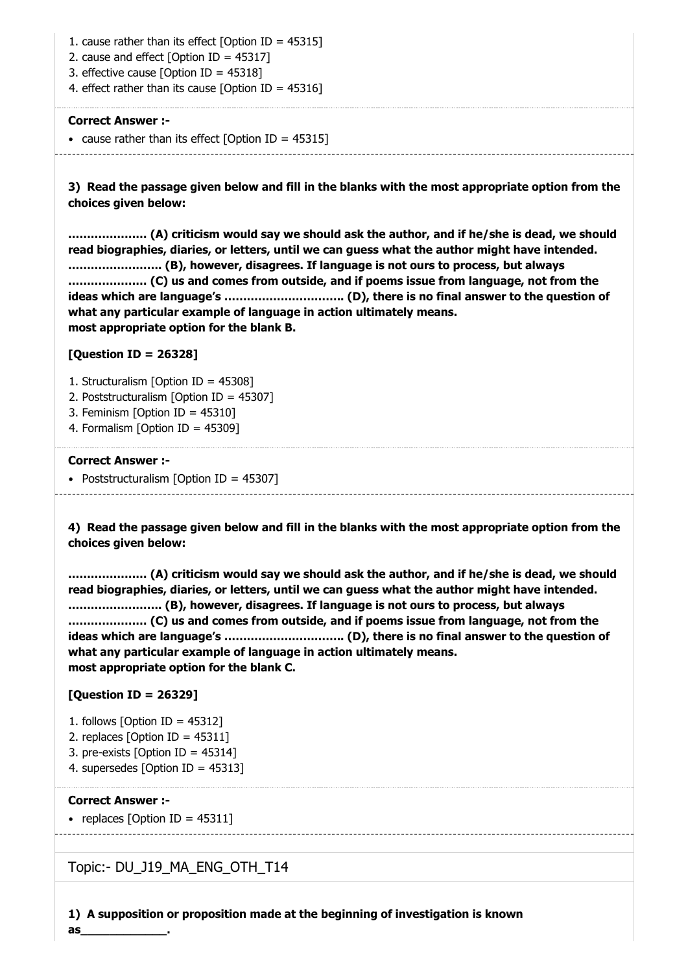1. cause rather than its effect [Option ID = 45315]

- 2. cause and effect  $[Option ID = 45317]$
- 3. effective cause [Option ID = 45318]

4. effect rather than its cause [Option ID = 45316]

#### **Correct Answer :-**

• cause rather than its effect  $[Option ID = 45315]$ 

**3) Read the passage given below and fill in the blanks with the most appropriate option from the choices given below:**

**………………… (A) criticism would say we should ask the author, and if he/she is dead, we should read biographies, diaries, or letters, until we can guess what the author might have intended. ……………………. (B), however, disagrees. If language is not ours to process, but always ………………… (C) us and comes from outside, and if poems issue from language, not from the ideas which are language's ………………………….. (D), there is no final answer to the question of what any particular example of language in action ultimately means. most appropriate option for the blank B.**

# **[Question ID = 26328]**

- 1. Structuralism [Option ID = 45308]
- 2. Poststructuralism [Option ID = 45307]
- 3. Feminism [Option ID = 45310]
- 4. Formalism [Option ID = 45309]

#### **Correct Answer :-**

• Poststructuralism [Option ID = 45307]

**4) Read the passage given below and fill in the blanks with the most appropriate option from the choices given below:**

**………………… (A) criticism would say we should ask the author, and if he/she is dead, we should read biographies, diaries, or letters, until we can guess what the author might have intended. ……………………. (B), however, disagrees. If language is not ours to process, but always ………………… (C) us and comes from outside, and if poems issue from language, not from the ideas which are language's ………………………….. (D), there is no final answer to the question of what any particular example of language in action ultimately means. most appropriate option for the blank C.**

# **[Question ID = 26329]**

- 1. follows [Option ID = 45312]
- 2. replaces [Option ID = 45311]
- 3. pre-exists [Option ID = 45314]
- 4. supersedes [Option ID = 45313]

#### **Correct Answer :-**

**as\_\_\_\_\_\_\_\_\_\_\_\_.**

• replaces  $\sim$  10 TD = 45311]

# Topic:- DU\_J19\_MA\_ENG\_OTH\_T14

**1) A supposition or proposition made at the beginning of investigation is known**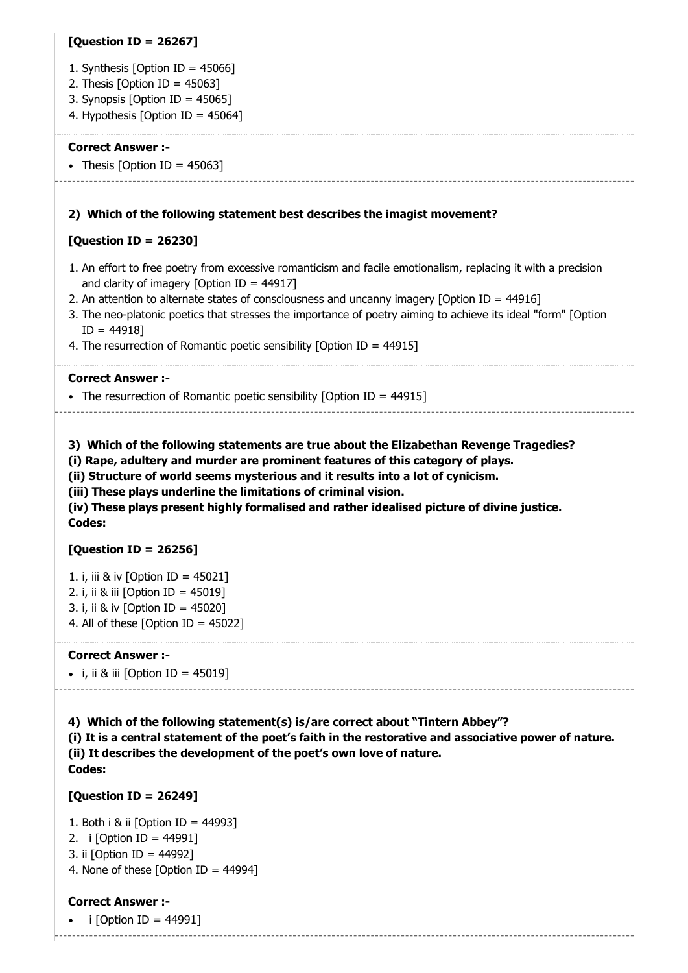# **[Question ID = 26267]**

- 1. Synthesis [Option ID =  $45066$ ]
- 2. Thesis  $[Option ID = 45063]$
- 3. Synopsis [Option ID = 45065]
- 4. Hypothesis [Option ID = 45064]

#### **Correct Answer :-**

• Thesis [Option ID =  $45063$ ]

#### **2) Which of the following statement best describes the imagist movement?**

## **[Question ID = 26230]**

- 1. An effort to free poetry from excessive romanticism and facile emotionalism, replacing it with a precision and clarity of imagery [Option ID =  $44917$ ]
- 2. An attention to alternate states of consciousness and uncanny imagery [Option ID = 44916]
- 3. The neo-platonic poetics that stresses the importance of poetry aiming to achieve its ideal "form" [Option  $ID = 44918$
- 4. The resurrection of Romantic poetic sensibility [Option ID = 44915]

#### **Correct Answer :-**

• The resurrection of Romantic poetic sensibility  $[Option ID = 44915]$ 

**3) Which of the following statements are true about the Elizabethan Revenge Tragedies?**

**(i) Rape, adultery and murder are prominent features of this category of plays.**

**(ii) Structure of world seems mysterious and it results into a lot of cynicism.**

**(iii) These plays underline the limitations of criminal vision.**

**(iv) These plays present highly formalised and rather idealised picture of divine justice. Codes:**

#### **[Question ID = 26256]**

- 1. i, iii & iv [Option ID = 45021]
- 2. i, ii & iii [Option ID = 45019]
- 3. i, ii & iv [Option ID = 45020] 4. All of these  $[Option ID = 45022]$

#### **Correct Answer :-**

 $\bullet$  i, ii & iii  $[Option ID = 45019]$ 

#### **4) Which of the following statement(s) is/are correct about "Tintern Abbey"?**

**(i) It is a central statement of the poet's faith in the restorative and associative power of nature. (ii) It describes the development of the poet's own love of nature. Codes:**

#### **[Question ID = 26249]**

1. Both i & ii [Option ID = 44993] 2. i [Option ID = 44991]

- 3. ii [Option ID = 44992]
- 4. None of these [Option ID =  $44994$ ]

#### **Correct Answer :-**

i [Option ID = 44991]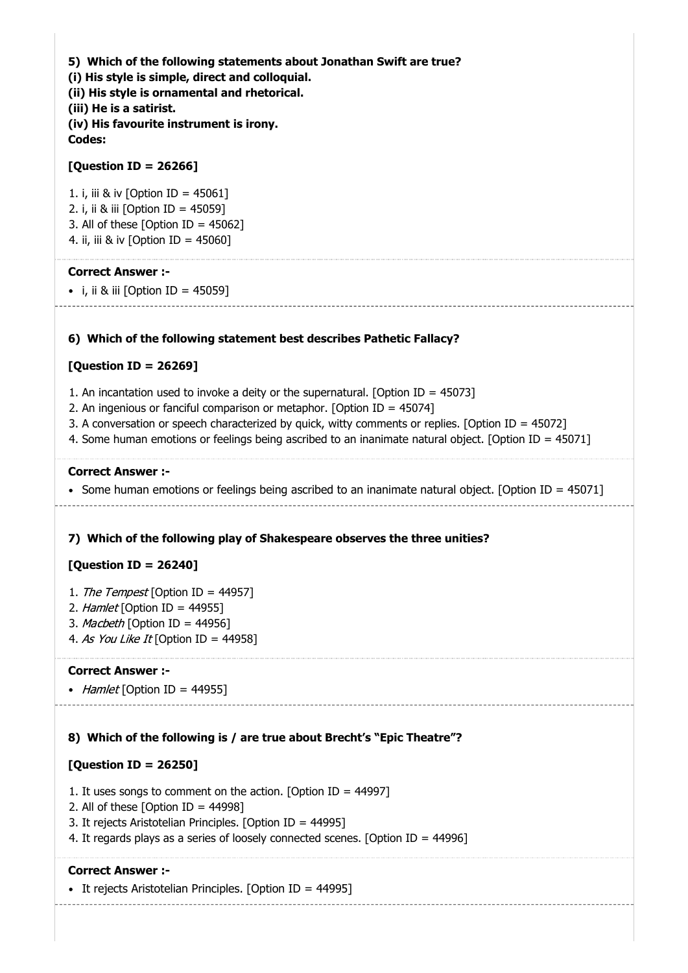**5) Which of the following statements about Jonathan Swift are true? (i) His style is simple, direct and colloquial. (ii) His style is ornamental and rhetorical. (iii) He is a satirist. (iv) His favourite instrument is irony. Codes:**

#### **[Question ID = 26266]**

1. i, iii & iv [Option ID = 45061] 2. i, ii & iii [Option ID = 45059] 3. All of these [Option ID =  $45062$ ] 4. ii, iii & iv [Option ID = 45060]

#### **Correct Answer :-**

• i, ii & iii  $[Option ID = 45059]$ 

#### **6) Which of the following statement best describes Pathetic Fallacy?**

#### **[Question ID = 26269]**

- 1. An incantation used to invoke a deity or the supernatural. [Option ID = 45073]
- 2. An ingenious or fanciful comparison or metaphor. [Option ID = 45074]
- 3. A conversation or speech characterized by quick, witty comments or replies. [Option ID = 45072]
- 4. Some human emotions or feelings being ascribed to an inanimate natural object. [Option ID = 45071]

#### **Correct Answer :-**

• Some human emotions or feelings being ascribed to an inanimate natural object. [Option ID = 45071]

# **7) Which of the following play of Shakespeare observes the three unities?**

# **[Question ID = 26240]**

- 1. The Tempest [Option ID = 44957]
- 2. Hamlet [Option ID = 44955]
- 3. Macbeth [Option ID = 44956]
- 4. As You Like It [Option ID = 44958]

#### **Correct Answer :-**

• Hamlet [Option ID = 44955]

#### **8) Which of the following is / are true about Brecht's "Epic Theatre"?**

#### **[Question ID = 26250]**

- 1. It uses songs to comment on the action. [Option ID =  $44997$ ]
- 2. All of these  $\lceil$ Option  $\lceil D \rceil$  = 44998 $\lceil$
- 3. It rejects Aristotelian Principles. [Option ID = 44995]
- 4. It regards plays as a series of loosely connected scenes. [Option ID = 44996]

#### **Correct Answer :-**

• It rejects Aristotelian Principles. [Option ID = 44995]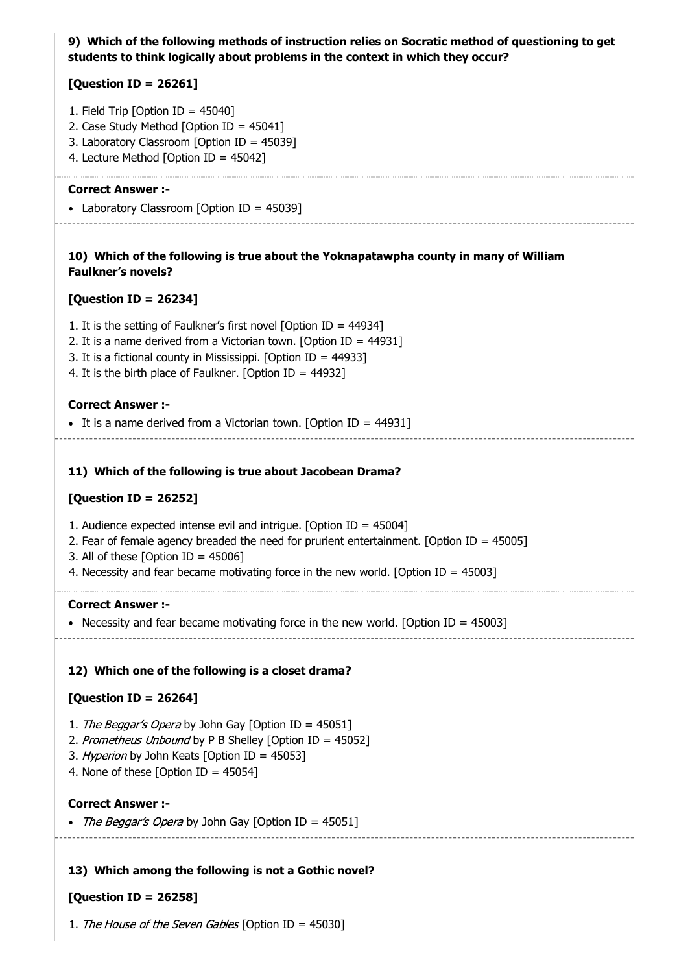# **9) Which of the following methods of instruction relies on Socratic method of questioning to get students to think logically about problems in the context in which they occur?**

# **[Question ID = 26261]**

- 1. Field Trip [Option ID = 45040]
- 2. Case Study Method [Option ID = 45041]
- 3. Laboratory Classroom [Option ID = 45039]
- 4. Lecture Method [Option ID = 45042]

#### **Correct Answer :-**

• Laboratory Classroom [Option ID = 45039]

## **10) Which of the following is true about the Yoknapatawpha county in many of William Faulkner's novels?**

# **[Question ID = 26234]**

- 1. It is the setting of Faulkner's first novel [Option ID = 44934]
- 2. It is a name derived from a Victorian town. [Option ID = 44931]
- 3. It is a fictional county in Mississippi. [Option ID = 44933]
- 4. It is the birth place of Faulkner. [Option ID = 44932]

#### **Correct Answer :-**

It is a name derived from a Victorian town. [Option ID = 44931]

# **11) Which of the following is true about Jacobean Drama?**

# **[Question ID = 26252]**

- 1. Audience expected intense evil and intrigue. [Option ID = 45004]
- 2. Fear of female agency breaded the need for prurient entertainment. [Option ID = 45005]
- 3. All of these [Option ID =  $45006$ ]
- 4. Necessity and fear became motivating force in the new world. [Option ID = 45003]

# **Correct Answer :-**

• Necessity and fear became motivating force in the new world. [Option ID =  $45003$ ]

# **12) Which one of the following is a closet drama?**

# **[Question ID = 26264]**

- 1. The Beggar's Opera by John Gay [Option ID = 45051]
- 2. Prometheus Unbound by P B Shelley [Option ID = 45052]
- 3. Hyperion by John Keats [Option ID = 45053]
- 4. None of these  $[Option ID = 45054]$

# **Correct Answer :-**

• The Beggar's Opera by John Gay [Option ID = 45051]

# **13) Which among the following is not a Gothic novel?**

# **[Question ID = 26258]**

1. The House of the Seven Gables [Option ID = 45030]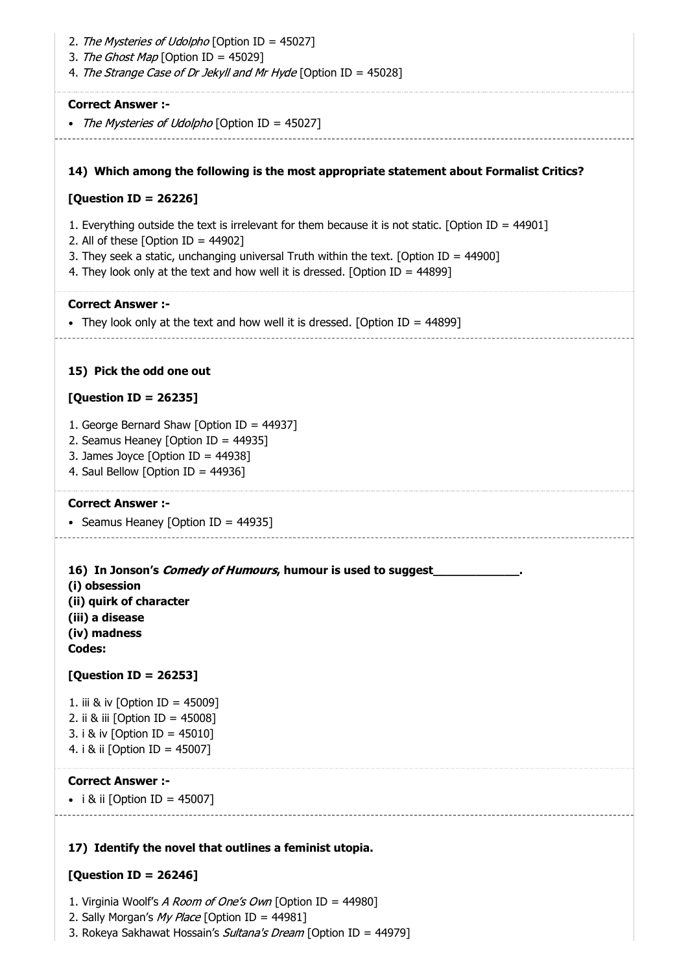| 2. The Mysteries of Udolpho [Option ID = 45027]<br>3. The Ghost Map [Option ID = 45029]<br>4. The Strange Case of Dr Jekyll and Mr Hyde [Option ID = 45028]                                                                                                                                                                    |
|--------------------------------------------------------------------------------------------------------------------------------------------------------------------------------------------------------------------------------------------------------------------------------------------------------------------------------|
| <b>Correct Answer:-</b><br>The Mysteries of Udolpho [Option ID = 45027]                                                                                                                                                                                                                                                        |
| 14) Which among the following is the most appropriate statement about Formalist Critics?                                                                                                                                                                                                                                       |
| [Question ID = 26226]                                                                                                                                                                                                                                                                                                          |
| 1. Everything outside the text is irrelevant for them because it is not static. [Option ID = $44901$ ]<br>2. All of these [Option ID = $44902$ ]<br>3. They seek a static, unchanging universal Truth within the text. [Option ID = $44900$ ]<br>4. They look only at the text and how well it is dressed. [Option ID = 44899] |
| <b>Correct Answer:-</b>                                                                                                                                                                                                                                                                                                        |
| • They look only at the text and how well it is dressed. [Option ID = 44899]                                                                                                                                                                                                                                                   |
| 15) Pick the odd one out                                                                                                                                                                                                                                                                                                       |
| [Question ID = 26235]                                                                                                                                                                                                                                                                                                          |
| 1. George Bernard Shaw [Option ID = 44937]<br>2. Seamus Heaney [Option ID = 44935]<br>3. James Joyce [Option ID = $44938$ ]<br>4. Saul Bellow [Option ID = 44936]                                                                                                                                                              |
| <b>Correct Answer :-</b><br>• Seamus Heaney [Option ID = 44935]                                                                                                                                                                                                                                                                |
| 16) In Jonson's Comedy of Humours, humour is used to suggest<br>(i) obsession<br>(ii) quirk of character<br>(iii) a disease<br>(iv) madness<br>Codes:                                                                                                                                                                          |
| [Question ID = 26253]                                                                                                                                                                                                                                                                                                          |
| 1. iii & iv [Option ID = 45009]<br>2. ii & iii [Option ID = 45008]<br>3. i & iv [Option ID = 45010]<br>4. i & ii [Option ID = 45007]                                                                                                                                                                                           |
| <b>Correct Answer:-</b><br>• i & ii [Option ID = 45007]                                                                                                                                                                                                                                                                        |

#### **17) Identify the novel that outlines a feminist utopia.**

#### **[Question ID = 26246]**

1. Virginia Woolf's A Room of One's Own [Option ID = 44980]

2. Sally Morgan's My Place [Option ID = 44981]

3. Rokeya Sakhawat Hossain's Sultana's Dream [Option ID = 44979]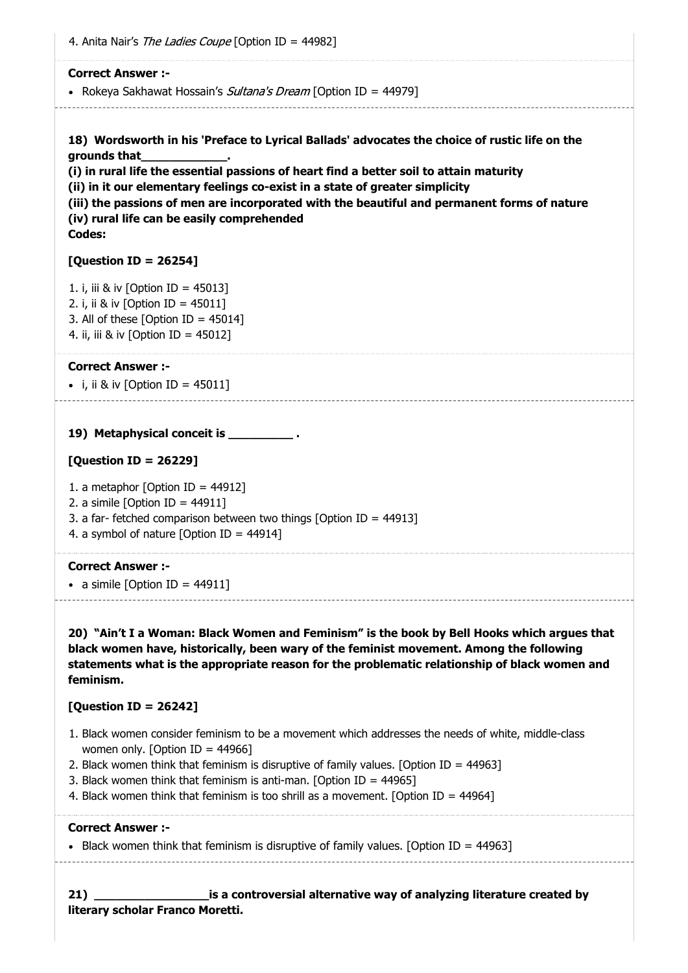4. Anita Nair's *The Ladies Coupe* [Option ID = 44982]

#### **Correct Answer :-**

• Rokeya Sakhawat Hossain's *Sultana's Dream* [Option ID = 44979]

**18) Wordsworth in his 'Preface to Lyrical Ballads' advocates the choice of rustic life on the grounds that\_\_\_\_\_\_\_\_\_\_\_\_.**

**(i) in rural life the essential passions of heart find a better soil to attain maturity**

**(ii) in it our elementary feelings co-exist in a state of greater simplicity**

**(iii) the passions of men are incorporated with the beautiful and permanent forms of nature (iv) rural life can be easily comprehended**

# **Codes:**

# **[Question ID = 26254]**

1. i, iii & iv [Option ID = 45013] 2. i, ii & iv [Option ID = 45011] 3. All of these  $[Option ID = 45014]$ 4. ii, iii & iv [Option ID = 45012]

#### **Correct Answer :-**

• i, ii & iv  $[Option ID = 45011]$ 

**19) Metaphysical conceit is \_\_\_\_\_\_\_\_\_ .**

#### **[Question ID = 26229]**

1. a metaphor [Option ID =  $44912$ ]

2. a simile  $[Option ID = 44911]$ 

- 3. a far- fetched comparison between two things [Option ID = 44913]
- 4. a symbol of nature [Option ID =  $44914$ ]

#### **Correct Answer :-**

• a simile  $[Option ID = 44911]$ 

**20) "Ain't I a Woman: Black Women and Feminism" is the book by Bell Hooks which argues that black women have, historically, been wary of the feminist movement. Among the following statements what is the appropriate reason for the problematic relationship of black women and feminism.**

# **[Question ID = 26242]**

- 1. Black women consider feminism to be a movement which addresses the needs of white, middle-class women only. [Option ID = 44966]
- 2. Black women think that feminism is disruptive of family values. [Option ID =  $44963$ ]
- 3. Black women think that feminism is anti-man. [Option ID =  $44965$ ]
- 4. Black women think that feminism is too shrill as a movement. [Option ID =  $44964$ ]

#### **Correct Answer :-**

Black women think that feminism is disruptive of family values. [Option ID =  $44963$ ]

**21) \_\_\_\_\_\_\_\_\_\_\_\_\_\_\_\_is a controversial alternative way of analyzing literature created by literary scholar Franco Moretti.**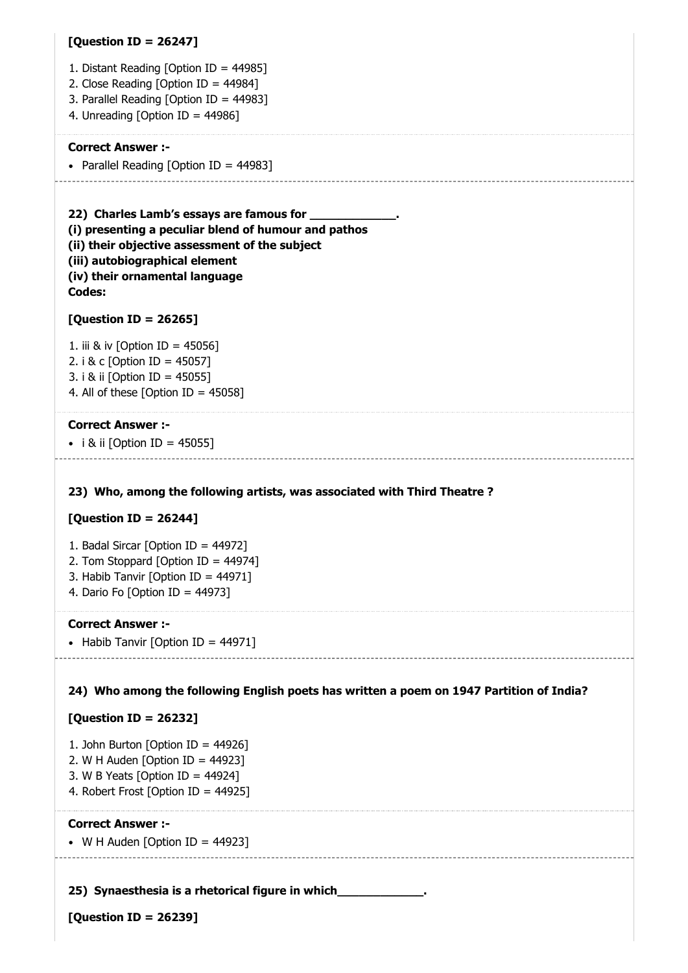#### **[Question ID = 26247]**

- 1. Distant Reading [Option ID = 44985]
- 2. Close Reading [Option ID = 44984]
- 3. Parallel Reading [Option ID = 44983]
- 4. Unreading [Option ID = 44986]

#### **Correct Answer :-**

• Parallel Reading [Option ID = 44983]

**22) Charles Lamb's essays are famous for \_\_\_\_\_\_\_\_\_\_\_\_. (i) presenting a peculiar blend of humour and pathos (ii) their objective assessment of the subject (iii) autobiographical element (iv) their ornamental language Codes:**

#### **[Question ID = 26265]**

1. iii & iv [Option ID = 45056] 2. i & c [Option ID = 45057] 3. i & ii [Option ID = 45055] 4. All of these [Option ID =  $45058$ ]

#### **Correct Answer :-**

• i & ii [Option ID = 45055]

#### **23) Who, among the following artists, was associated with Third Theatre ?**

#### **[Question ID = 26244]**

- 1. Badal Sircar [Option ID = 44972]
- 2. Tom Stoppard [Option ID = 44974]
- 3. Habib Tanvir [Option ID = 44971]
- 4. Dario Fo [Option ID = 44973]

#### **Correct Answer :-**

• Habib Tanvir [Option ID =  $44971$ ]

#### **24) Who among the following English poets has written a poem on 1947 Partition of India?**

#### **[Question ID = 26232]**

- 1. John Burton [Option ID = 44926]
- 2. W H Auden [Option ID =  $44923$ ]
- 3. W B Yeats [Option ID = 44924]
- 4. Robert Frost [Option ID = 44925]

#### **Correct Answer :-**

 $\bullet$  W H Auden [Option ID = 44923]

#### **25) Synaesthesia is a rhetorical figure in which\_\_\_\_\_\_\_\_\_\_\_\_.**

**[Question ID = 26239]**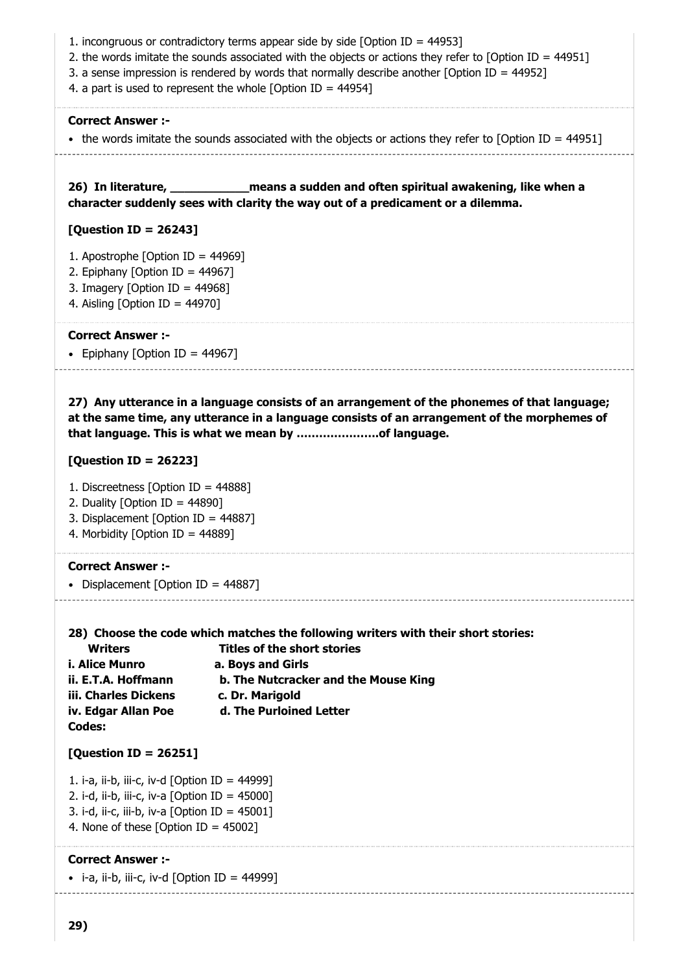- 1. incongruous or contradictory terms appear side by side [Option ID = 44953]
- 2. the words imitate the sounds associated with the objects or actions they refer to [Option ID = 44951]
- 3. a sense impression is rendered by words that normally describe another [Option ID = 44952]
- 4. a part is used to represent the whole [Option ID =  $44954$ ]

#### **Correct Answer :-**

 $\bullet$  the words imitate the sounds associated with the objects or actions they refer to [Option ID = 44951]

26) In literature, **In litterature, 2018 Manustans and often spiritual awakening, like when a character suddenly sees with clarity the way out of a predicament or a dilemma.**

#### **[Question ID = 26243]**

- 1. Apostrophe [Option ID = 44969]
- 2. Epiphany [Option ID = 44967]
- 3. Imagery [Option ID =  $44968$ ]
- 4. Aisling [Option ID = 44970]

#### **Correct Answer :-**

• Epiphany [Option ID = 44967]

**27) Any utterance in a language consists of an arrangement of the phonemes of that language; at the same time, any utterance in a language consists of an arrangement of the morphemes of that language. This is what we mean by ………………….of language.**

#### **[Question ID = 26223]**

- 1. Discreetness [Option ID = 44888]
- 2. Duality  $[Option ID = 44890]$
- 3. Displacement [Option ID = 44887]
- 4. Morbidity [Option ID = 44889]

#### **Correct Answer :-**

• Displacement [Option ID =  $44887$ ]

#### **28) Choose the code which matches the following writers with their short stories:**

| <b>Writers</b>       | <b>Titles of the short stories</b>   |
|----------------------|--------------------------------------|
| i. Alice Munro       | a. Boys and Girls                    |
| ii. E.T.A. Hoffmann  | b. The Nutcracker and the Mouse King |
| iii. Charles Dickens | c. Dr. Marigold                      |
| iv. Edgar Allan Poe  | d. The Purloined Letter              |
| Codes:               |                                      |

#### **[Question ID = 26251]**

1. i-a, ii-b, iii-c, iv-d [Option ID =  $44999$ ] 2. i-d, ii-b, iii-c, iv-a  $[Option ID = 45000]$ 3. i-d, ii-c, iii-b, iv-a [Option ID = 45001]

4. None of these [Option ID = 45002]

#### **Correct Answer :-**

 $\bullet$  i-a, ii-b, iii-c, iv-d [Option ID = 44999]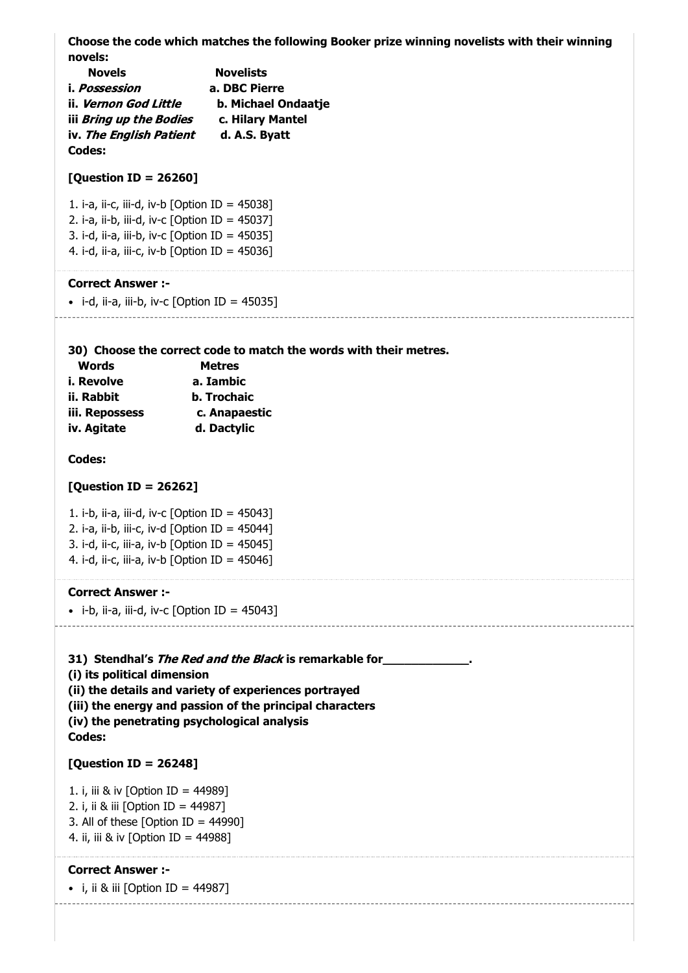**Choose the code which matches the following Booker prize winning novelists with their winning novels:**

| <b>Novels</b>                | <b>Novelists</b>    |
|------------------------------|---------------------|
| i. Possession                | a. DBC Pierre       |
| ii. <i>Vernon God Little</i> | b. Michael Ondaatje |
| iii Bring up the Bodies      | c. Hilary Mantel    |
| iv. The English Patient      | d. A.S. Byatt       |
| Codes:                       |                     |

#### **[Question ID = 26260]**

1. i-a, ii-c, iii-d, iv-b [Option ID = 45038] 2. i-a, ii-b, iii-d, iv-c [Option ID = 45037] 3. i-d, ii-a, iii-b, iv-c  $[Option ID = 45035]$ 4. i-d, ii-a, iii-c, iv-b [Option ID =  $45036$ ]

#### **Correct Answer :-**

 $\bullet$  i-d, ii-a, iii-b, iv-c [Option ID = 45035]

**30) Choose the correct code to match the words with their metres.**

| Words          | <b>Metres</b>      |
|----------------|--------------------|
| i. Revolve     | a. Iambic          |
| ii. Rabbit     | <b>b.</b> Trochaic |
| iii. Repossess | c. Anapaestic      |
| iv. Agitate    | d. Dactylic        |

#### **Codes:**

#### **[Question ID = 26262]**

1. i-b, ii-a, iii-d, iv-c [Option ID =  $45043$ ] 2. i-a, ii-b, iii-c, iv-d [Option ID =  $45044$ ] 3. i-d, ii-c, iii-a, iv-b [Option ID = 45045] 4. i-d, ii-c, iii-a, iv-b [Option ID =  $45046$ ]

#### **Correct Answer :-**

 $\bullet$  i-b, ii-a, iii-d, iv-c [Option ID = 45043]

**31) Stendhal's** The Red and the Black **is remarkable for\_\_\_\_\_\_\_\_\_\_\_\_. (i) its political dimension (ii) the details and variety of experiences portrayed (iii) the energy and passion of the principal characters (iv) the penetrating psychological analysis**

# **Codes:**

#### **[Question ID = 26248]**

1. i, iii & iv [Option ID = 44989] 2. i, ii & iii [Option ID = 44987] 3. All of these  $[Option ID = 44990]$ 4. ii, iii & iv [Option ID = 44988]

#### **Correct Answer :-**

• *i, ii & iii* [Option ID = 44987]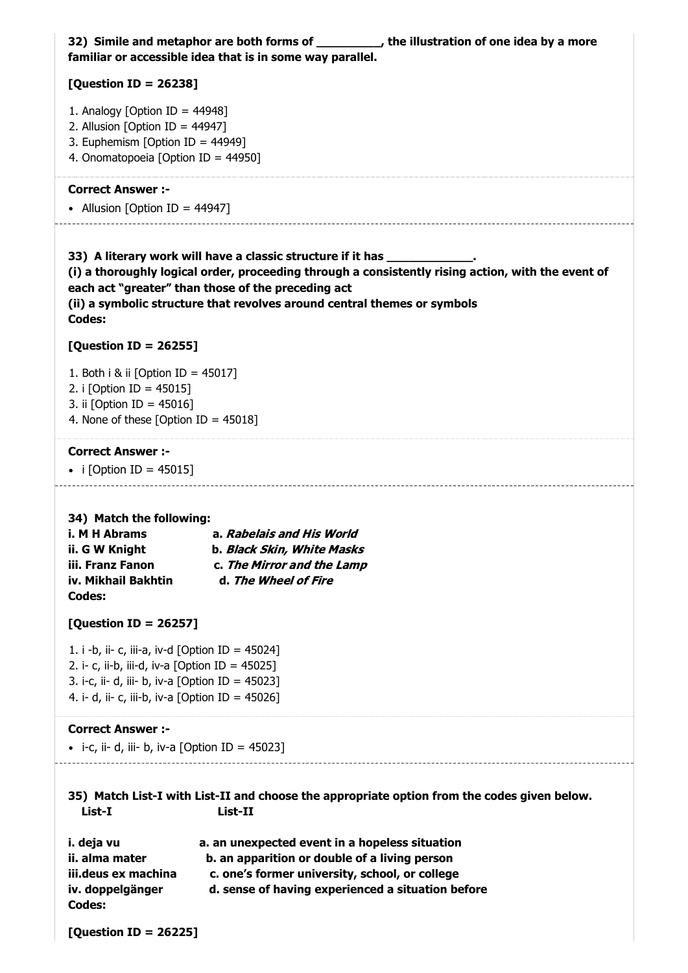|                                                                                                                                                                                                            | 32) Simile and metaphor are both forms of __________, the illustration of one idea by a more<br>familiar or accessible idea that is in some way parallel.                                                                                                                                                         |  |
|------------------------------------------------------------------------------------------------------------------------------------------------------------------------------------------------------------|-------------------------------------------------------------------------------------------------------------------------------------------------------------------------------------------------------------------------------------------------------------------------------------------------------------------|--|
| [Question ID = 26238]                                                                                                                                                                                      |                                                                                                                                                                                                                                                                                                                   |  |
| 1. Analogy [Option ID = $44948$ ]<br>2. Allusion [Option ID = $44947$ ]<br>3. Euphemism [Option ID = 44949]<br>4. Onomatopoeia [Option ID = 44950]                                                         |                                                                                                                                                                                                                                                                                                                   |  |
| <b>Correct Answer :-</b><br>• Allusion [Option ID = 44947]                                                                                                                                                 |                                                                                                                                                                                                                                                                                                                   |  |
| Codes:                                                                                                                                                                                                     | 33) A literary work will have a classic structure if it has _____________<br>(i) a thoroughly logical order, proceeding through a consistently rising action, with the event of<br>each act "greater" than those of the preceding act<br>(ii) a symbolic structure that revolves around central themes or symbols |  |
| [Question ID = 26255]                                                                                                                                                                                      |                                                                                                                                                                                                                                                                                                                   |  |
| 1. Both i & ii [Option ID = 45017]<br>2. i [Option ID = 45015]<br>3. ii [Option ID = 45016]<br>4. None of these [Option ID = $45018$ ]                                                                     |                                                                                                                                                                                                                                                                                                                   |  |
| <b>Correct Answer:-</b>                                                                                                                                                                                    |                                                                                                                                                                                                                                                                                                                   |  |
| • i [Option ID = 45015]                                                                                                                                                                                    |                                                                                                                                                                                                                                                                                                                   |  |
| 34) Match the following:<br>i. M H Abrams<br>ii. G W Knight<br>iii. Franz Fanon<br>iv. Mikhail Bakhtin<br>Codes:                                                                                           | a. Rabelais and His World<br>b. <i>Black Skin, White Masks</i><br>c. The Mirror and the Lamp<br>d. The Wheel of Fire                                                                                                                                                                                              |  |
| [Question ID = 26257]                                                                                                                                                                                      |                                                                                                                                                                                                                                                                                                                   |  |
| 1. i -b, ii- c, iii-a, iv-d [Option ID = 45024]<br>2. i- c, ii-b, iii-d, iv-a [Option ID = $45025$ ]<br>3. i-c, ii- d, iii- b, iv-a [Option ID = 45023]<br>4. i- d, ii- c, iii-b, iv-a [Option ID = 45026] |                                                                                                                                                                                                                                                                                                                   |  |
| <b>Correct Answer:-</b>                                                                                                                                                                                    |                                                                                                                                                                                                                                                                                                                   |  |
| • i-c, ii- d, iii- b, iv-a [Option ID = 45023]                                                                                                                                                             |                                                                                                                                                                                                                                                                                                                   |  |
| 35) Match List-I with List-II and choose the appropriate option from the codes given below.<br>List-I<br>List-II                                                                                           |                                                                                                                                                                                                                                                                                                                   |  |
| i. deja vu<br>ii. alma mater<br>iii.deus ex machina<br>iv. doppelgänger<br><b>Codes:</b>                                                                                                                   | a. an unexpected event in a hopeless situation<br>b. an apparition or double of a living person<br>c. one's former university, school, or college<br>d. sense of having experienced a situation before                                                                                                            |  |
| [Question ID = 26225]                                                                                                                                                                                      |                                                                                                                                                                                                                                                                                                                   |  |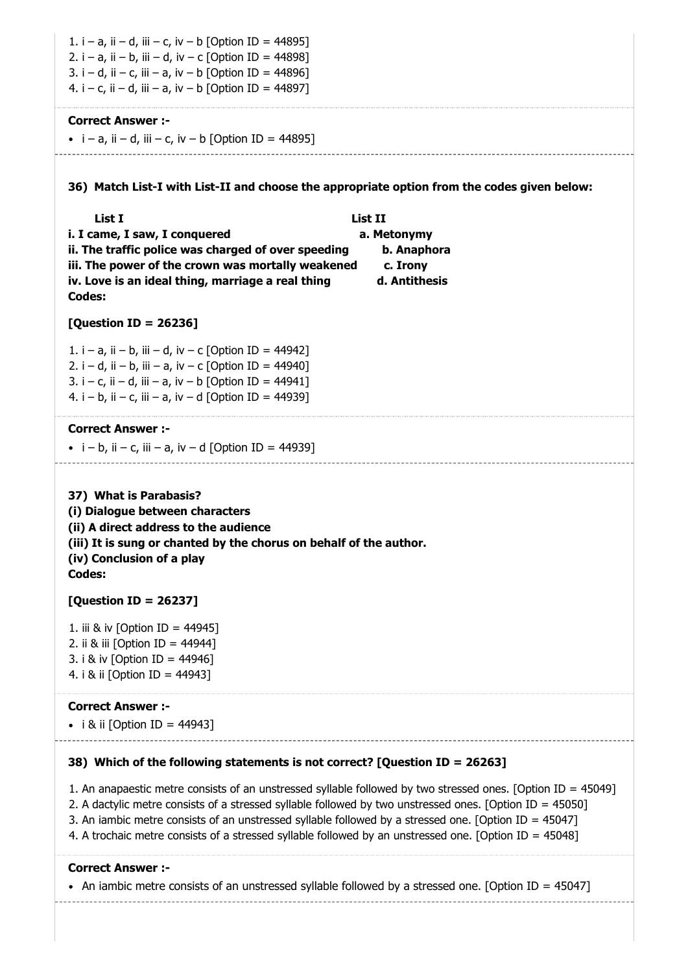| 1. i – a, ii – d, iii – c, iv – b [Option ID = 44895]<br>2. i – a, ii – b, iii – d, iv – c [Option ID = 44898]<br>3. i – d, ii – c, iii – a, iv – b [Option ID = 44896]<br>4. i – c, ii – d, iii – a, iv – b [Option ID = 44897]                                                                                                                                                                                                            |                                                                    |
|---------------------------------------------------------------------------------------------------------------------------------------------------------------------------------------------------------------------------------------------------------------------------------------------------------------------------------------------------------------------------------------------------------------------------------------------|--------------------------------------------------------------------|
| <b>Correct Answer :-</b><br>• $i - a$ , $ii - d$ , $iii - c$ , $iv - b$ [Option ID = 44895]                                                                                                                                                                                                                                                                                                                                                 |                                                                    |
| 36) Match List-I with List-II and choose the appropriate option from the codes given below:                                                                                                                                                                                                                                                                                                                                                 |                                                                    |
| List I<br>i. I came, I saw, I conquered<br>ii. The traffic police was charged of over speeding<br>iii. The power of the crown was mortally weakened<br>iv. Love is an ideal thing, marriage a real thing<br><b>Codes:</b>                                                                                                                                                                                                                   | List II<br>a. Metonymy<br>b. Anaphora<br>c. Irony<br>d. Antithesis |
| [Question ID = 26236]                                                                                                                                                                                                                                                                                                                                                                                                                       |                                                                    |
| 1. i – a, ii – b, iii – d, iv – c [Option ID = 44942]<br>2. i – d, ii – b, iii – a, iv – c [Option ID = 44940]<br>3. i – c, ii – d, iii – a, iv – b [Option ID = 44941]<br>4. i – b, ii – c, iii – a, iv – d [Option ID = 44939]                                                                                                                                                                                                            |                                                                    |
| <b>Correct Answer :-</b><br>• $i - b$ , ii – c, iii – a, iv – d [Option ID = 44939]                                                                                                                                                                                                                                                                                                                                                         |                                                                    |
| 37) What is Parabasis?<br>(i) Dialogue between characters<br>(ii) A direct address to the audience<br>(iii) It is sung or chanted by the chorus on behalf of the author<br>(iv) Conclusion of a play<br>Codes:                                                                                                                                                                                                                              |                                                                    |
| [Question ID = 26237]                                                                                                                                                                                                                                                                                                                                                                                                                       |                                                                    |
| 1. iii & iv [Option ID = 44945]<br>2. ii & iii [Option ID = 44944]<br>3. i & iv [Option ID = 44946]<br>4. i & ii [Option ID = 44943]                                                                                                                                                                                                                                                                                                        |                                                                    |
| <b>Correct Answer :-</b><br>• i & ii [Option ID = 44943]                                                                                                                                                                                                                                                                                                                                                                                    |                                                                    |
| 38) Which of the following statements is not correct? [Question ID = 26263]                                                                                                                                                                                                                                                                                                                                                                 |                                                                    |
| 1. An anapaestic metre consists of an unstressed syllable followed by two stressed ones. [Option ID = 45049]<br>2. A dactylic metre consists of a stressed syllable followed by two unstressed ones. [Option ID = 45050]<br>3. An iambic metre consists of an unstressed syllable followed by a stressed one. [Option ID = 45047]<br>4. A trochaic metre consists of a stressed syllable followed by an unstressed one. [Option ID = 45048] |                                                                    |

#### **Correct Answer :-**

• An iambic metre consists of an unstressed syllable followed by a stressed one. [Option ID = 45047]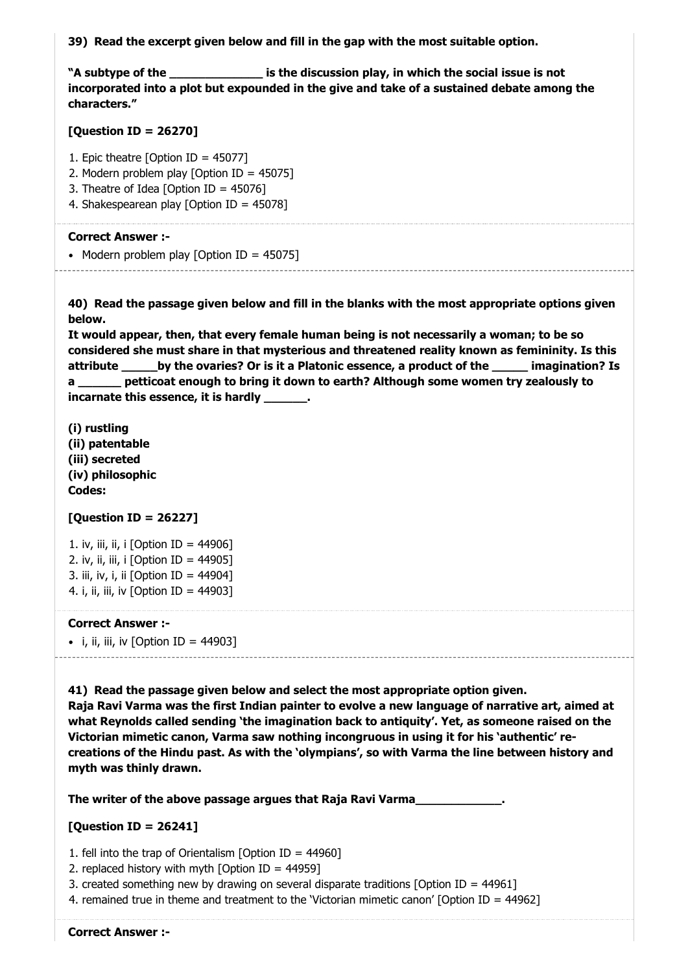**39) Read the excerpt given below and fill in the gap with the most suitable option.**

**"A subtype of the \_\_\_\_\_\_\_\_\_\_\_\_\_ is the discussion play, in which the social issue is not incorporated into a plot but expounded in the give and take of a sustained debate among the characters."**

#### **[Question ID = 26270]**

1. Epic theatre [Option ID = 45077]

- 2. Modern problem play [Option ID = 45075]
- 3. Theatre of Idea [Option ID = 45076]
- 4. Shakespearean play [Option ID = 45078]

#### **Correct Answer :-**

• Modern problem play  $[Option ID = 45075]$ . . . . . . . . . . . . . . . . . . .

**40) Read the passage given below and fill in the blanks with the most appropriate options given below.**

**It would appear, then, that every female human being is not necessarily a woman; to be so considered she must share in that mysterious and threatened reality known as femininity. Is this attribute \_\_\_\_\_by the ovaries? Or is it a Platonic essence, a product of the \_\_\_\_\_ imagination? Is a \_\_\_\_\_\_ petticoat enough to bring it down to earth? Although some women try zealously to incarnate this essence, it is hardly \_\_\_\_\_\_.**

**(i) rustling (ii) patentable (iii) secreted (iv) philosophic Codes:**

#### **[Question ID = 26227]**

1. iv, iii, ii, i  $[Option ID = 44906]$ 2. iv, ii, iii, i  $[Option ID = 44905]$ 3. iii, iv, i, ii [Option ID = 44904] 4. i, ii, iii, iv [Option ID = 44903]

#### **Correct Answer :-**

 $\bullet$  i, ii, iii, iv [Option ID = 44903]

**41) Read the passage given below and select the most appropriate option given. Raja Ravi Varma was the first Indian painter to evolve a new language of narrative art, aimed at what Reynolds called sending 'the imagination back to antiquity'. Yet, as someone raised on the Victorian mimetic canon, Varma saw nothing incongruous in using it for his 'authentic' recreations of the Hindu past. As with the 'olympians', so with Varma the line between history and myth was thinly drawn.**

**The writer of the above passage argues that Raja Ravi Varma\_\_\_\_\_\_\_\_\_\_\_\_.**

#### **[Question ID = 26241]**

1. fell into the trap of Orientalism [Option ID = 44960]

- 2. replaced history with myth  $[Option ID = 44959]$
- 3. created something new by drawing on several disparate traditions [Option ID = 44961]
- 4. remained true in theme and treatment to the 'Victorian mimetic canon' [Option ID = 44962]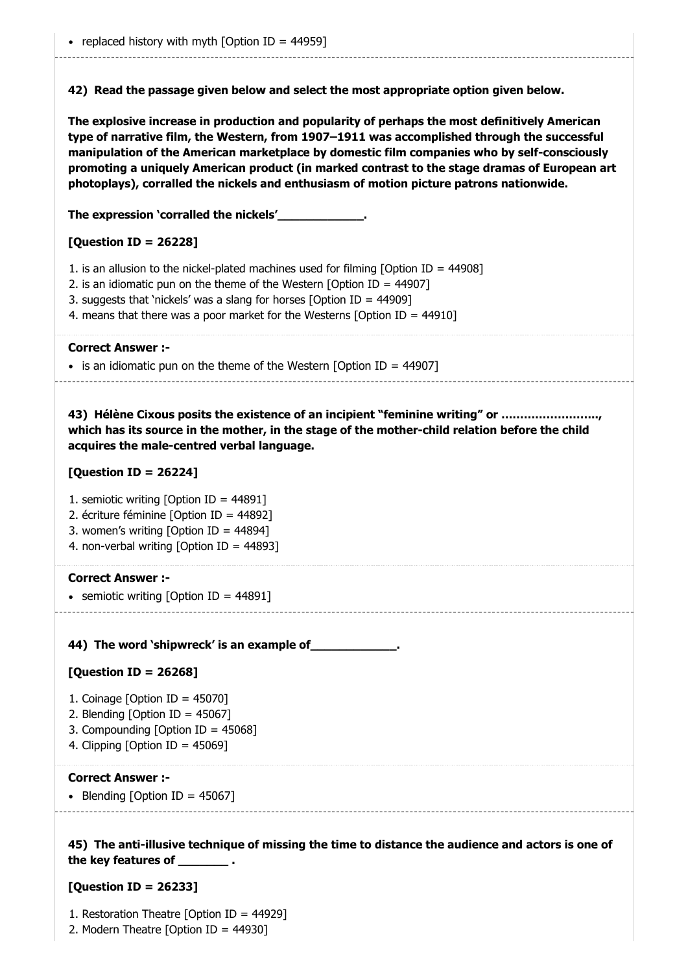**42) Read the passage given below and select the most appropriate option given below.**

**The explosive increase in production and popularity of perhaps the most definitively American type of narrative film, the Western, from 1907–1911 was accomplished through the successful manipulation of the American marketplace by domestic film companies who by self-consciously promoting a uniquely American product (in marked contrast to the stage dramas of European art photoplays), corralled the nickels and enthusiasm of motion picture patrons nationwide.**

**The expression 'corralled the nickels'\_\_\_\_\_\_\_\_\_\_\_\_.**

#### **[Question ID = 26228]**

- 1. is an allusion to the nickel-plated machines used for filming [Option ID = 44908]
- 2. is an idiomatic pun on the theme of the Western [Option ID = 44907]
- 3. suggests that 'nickels' was a slang for horses [Option ID = 44909]
- 4. means that there was a poor market for the Westerns [Option ID = 44910]

#### **Correct Answer :-**

 $\bullet$  is an idiomatic pun on the theme of the Western [Option ID = 44907]

**43) Hélène Cixous posits the existence of an incipient "feminine writing" or …………………….., which has its source in the mother, in the stage of the mother-child relation before the child acquires the male-centred verbal language.**

#### **[Question ID = 26224]**

- 1. semiotic writing [Option ID = 44891]
- 2. écriture féminine [Option ID = 44892]
- 3. women's writing [Option ID = 44894]
- 4. non-verbal writing [Option ID = 44893]

#### **Correct Answer :-**

• semiotic writing  $[Option ID = 44891]$ 

**44) The word 'shipwreck' is an example of\_\_\_\_\_\_\_\_\_\_\_\_.**

#### **[Question ID = 26268]**

- 1. Coinage [Option ID = 45070]
- 2. Blending [Option ID = 45067]
- 3. Compounding [Option ID = 45068]
- 4. Clipping [Option ID = 45069]

#### **Correct Answer :-**

• Blending [Option ID =  $45067$ ]

**45) The anti-illusive technique of missing the time to distance the audience and actors is one of the key features of \_\_\_\_\_\_\_ .**

#### **[Question ID = 26233]**

- 1. Restoration Theatre [Option ID = 44929]
- 2. Modern Theatre [Option ID = 44930]